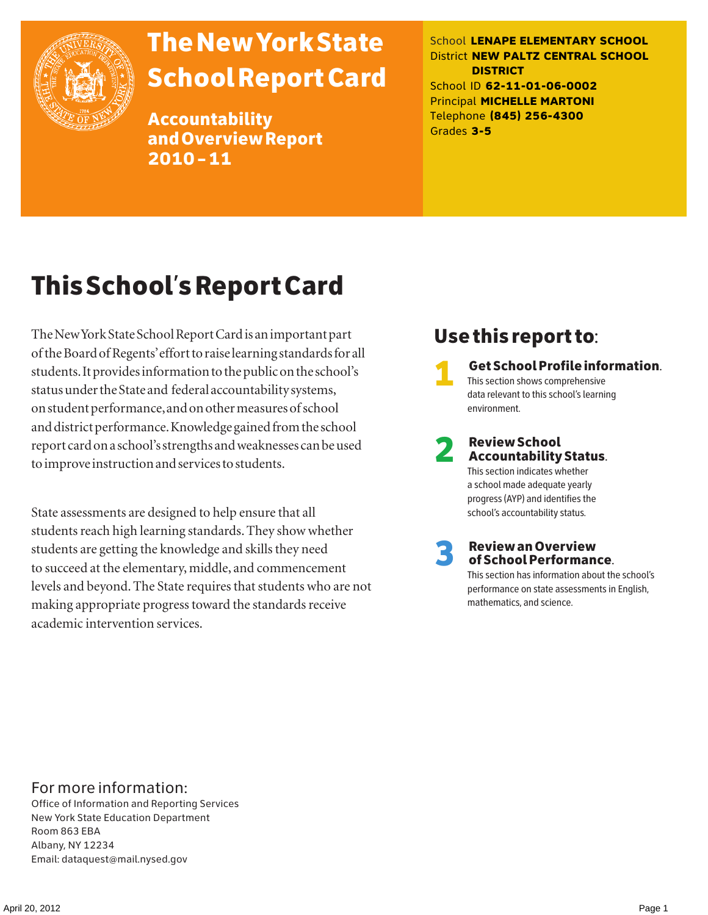

# The New York State School Report Card

Accountability and Overview Report 2010–11

School **LENAPE ELEMENTARY SCHOOL** District **NEW PALTZ CENTRAL SCHOOL DISTRICT** School ID **62-11-01-06-0002** Principal **MICHELLE MARTONI** Telephone **(845) 256-4300** Grades **3-5**

# This School's Report Card

The New York State School Report Card is an important part of the Board of Regents' effort to raise learning standards for all students. It provides information to the public on the school's status under the State and federal accountability systems, on student performance, and on other measures of school and district performance. Knowledge gained from the school report card on a school's strengths and weaknesses can be used to improve instruction and services to students.

State assessments are designed to help ensure that all students reach high learning standards. They show whether students are getting the knowledge and skills they need to succeed at the elementary, middle, and commencement levels and beyond. The State requires that students who are not making appropriate progress toward the standards receive academic intervention services.

### Use this report to:

1 Get School Profile information. This section shows comprehensive data relevant to this school's learning environment.

# 2 Review School Accountability Status.

This section indicates whether a school made adequate yearly progress (AYP) and identifies the school's accountability status.

3 Review an Overview of School Performance.

This section has information about the school's performance on state assessments in English, mathematics, and science.

### For more information:

Office of Information and Reporting Services New York State Education Department Room 863 EBA Albany, NY 12234 Email: dataquest@mail.nysed.gov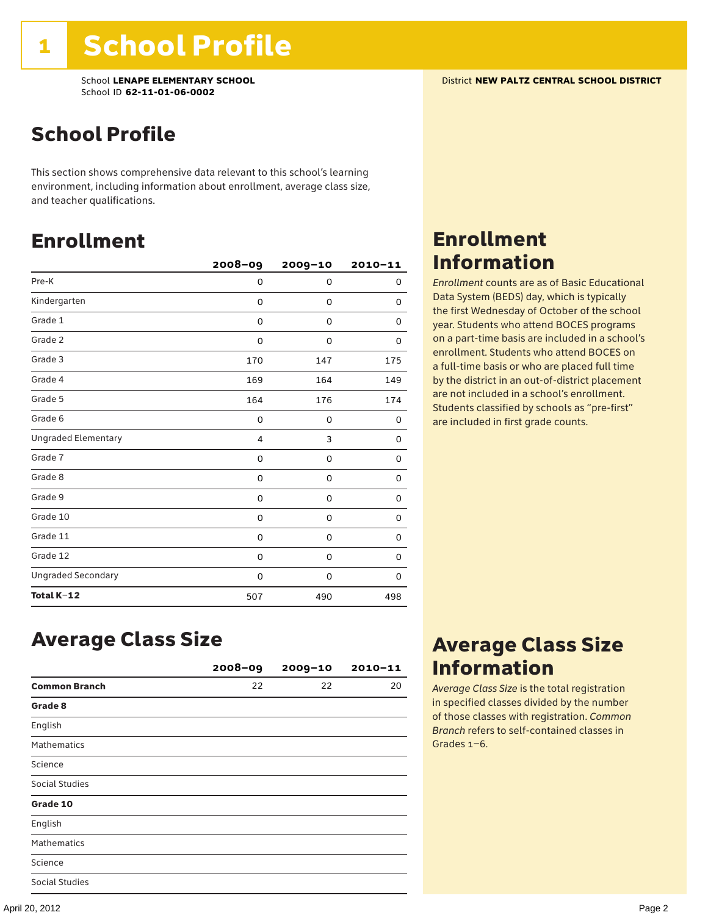### School Profile

This section shows comprehensive data relevant to this school's learning environment, including information about enrollment, average class size, and teacher qualifications.

### Enrollment

|                            | $2008 - 09$ | 2009-10 | $2010 - 11$ |
|----------------------------|-------------|---------|-------------|
| Pre-K                      | 0           | 0       | 0           |
| Kindergarten               | 0           | 0       | 0           |
| Grade 1                    | 0           | 0       | 0           |
| Grade 2                    | 0           | 0       | 0           |
| Grade 3                    | 170         | 147     | 175         |
| Grade 4                    | 169         | 164     | 149         |
| Grade 5                    | 164         | 176     | 174         |
| Grade 6                    | 0           | 0       | 0           |
| <b>Ungraded Elementary</b> | 4           | 3       | 0           |
| Grade 7                    | 0           | 0       | 0           |
| Grade 8                    | 0           | 0       | 0           |
| Grade 9                    | 0           | 0       | 0           |
| Grade 10                   | 0           | 0       | 0           |
| Grade 11                   | 0           | 0       | 0           |
| Grade 12                   | 0           | 0       | 0           |
| <b>Ungraded Secondary</b>  | 0           | 0       | 0           |
| Total K-12                 | 507         | 490     | 498         |

### Enrollment Information

*Enrollment* counts are as of Basic Educational Data System (BEDS) day, which is typically the first Wednesday of October of the school year. Students who attend BOCES programs on a part-time basis are included in a school's enrollment. Students who attend BOCES on a full-time basis or who are placed full time by the district in an out-of-district placement are not included in a school's enrollment. Students classified by schools as "pre-first" are included in first grade counts.

### Average Class Size

|                      | $2008 - 09$ | $2009 - 10$ | $2010 - 11$ |
|----------------------|-------------|-------------|-------------|
| <b>Common Branch</b> | 22          | 22          | 20          |
| Grade 8              |             |             |             |
| English              |             |             |             |
| <b>Mathematics</b>   |             |             |             |
| Science              |             |             |             |
| Social Studies       |             |             |             |
| Grade 10             |             |             |             |
| English              |             |             |             |
| <b>Mathematics</b>   |             |             |             |
| Science              |             |             |             |
| Social Studies       |             |             |             |

### Average Class Size Information

*Average Class Size* is the total registration in specified classes divided by the number of those classes with registration. *Common Branch* refers to self-contained classes in Grades 1–6.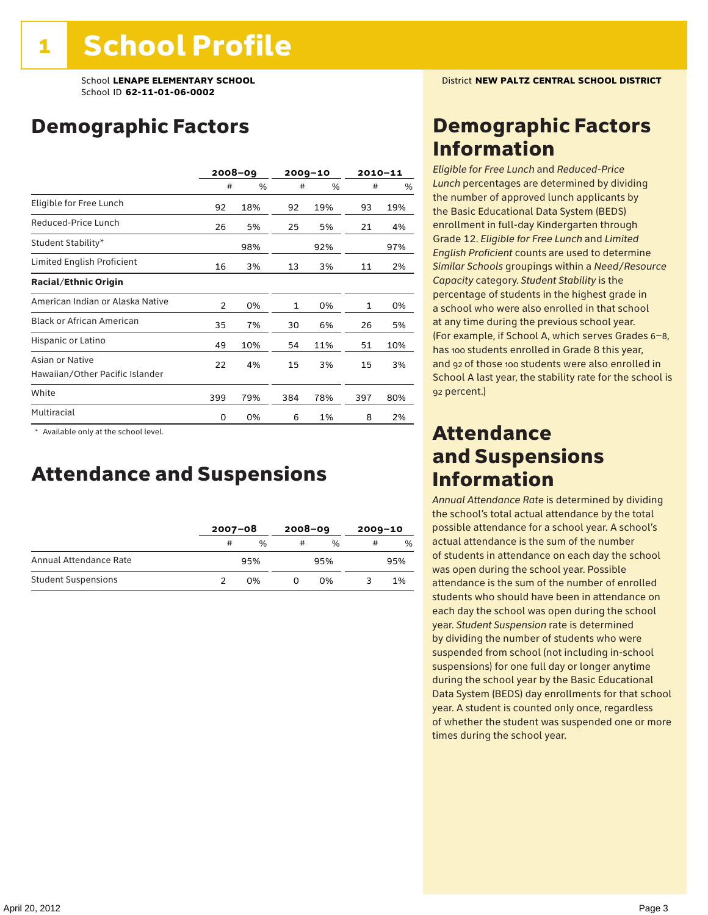### Demographic Factors

|                                                    |                | $2008 - 09$ |     | $2009 - 10$ |     | $2010 - 11$ |
|----------------------------------------------------|----------------|-------------|-----|-------------|-----|-------------|
|                                                    | #              | %           | #   | %           | #   | %           |
| Eligible for Free Lunch                            | 92             | 18%         | 92  | 19%         | 93  | 19%         |
| Reduced-Price Lunch                                | 26             | 5%          | 25  | 5%          | 21  | 4%          |
| Student Stability*                                 |                | 98%         |     | 92%         |     | 97%         |
| Limited English Proficient                         | 16             | 3%          | 13  | 3%          | 11  | 2%          |
| <b>Racial/Ethnic Origin</b>                        |                |             |     |             |     |             |
| American Indian or Alaska Native                   | $\overline{2}$ | 0%          | 1   | 0%          | 1   | 0%          |
| <b>Black or African American</b>                   | 35             | 7%          | 30  | 6%          | 26  | 5%          |
| Hispanic or Latino                                 | 49             | 10%         | 54  | 11%         | 51  | 10%         |
| Asian or Native<br>Hawaiian/Other Pacific Islander | 22             | 4%          | 15  | 3%          | 15  | 3%          |
| White                                              | 399            | 79%         | 384 | 78%         | 397 | 80%         |
| Multiracial                                        | 0              | 0%          | 6   | 1%          | 8   | 2%          |

 \* Available only at the school level.

### Attendance and Suspensions

|                            | $2007 - 08$ |     | $2008 - 09$ |               | $2009 - 10$ |      |
|----------------------------|-------------|-----|-------------|---------------|-------------|------|
|                            | #           | %   | #           | $\frac{0}{6}$ | #           | $\%$ |
| Annual Attendance Rate     |             | 95% |             | 95%           |             | 95%  |
| <b>Student Suspensions</b> |             | በ%  |             | በ%            |             | 1%   |

### Demographic Factors Information

*Eligible for Free Lunch* and *Reduced*-*Price Lunch* percentages are determined by dividing the number of approved lunch applicants by the Basic Educational Data System (BEDS) enrollment in full-day Kindergarten through Grade 12. *Eligible for Free Lunch* and *Limited English Proficient* counts are used to determine *Similar Schools* groupings within a *Need*/*Resource Capacity* category. *Student Stability* is the percentage of students in the highest grade in a school who were also enrolled in that school at any time during the previous school year. (For example, if School A, which serves Grades 6–8, has 100 students enrolled in Grade 8 this year, and 92 of those 100 students were also enrolled in School A last year, the stability rate for the school is 92 percent.)

### Attendance and Suspensions Information

*Annual Attendance Rate* is determined by dividing the school's total actual attendance by the total possible attendance for a school year. A school's actual attendance is the sum of the number of students in attendance on each day the school was open during the school year. Possible attendance is the sum of the number of enrolled students who should have been in attendance on each day the school was open during the school year. *Student Suspension* rate is determined by dividing the number of students who were suspended from school (not including in-school suspensions) for one full day or longer anytime during the school year by the Basic Educational Data System (BEDS) day enrollments for that school year. A student is counted only once, regardless of whether the student was suspended one or more times during the school year.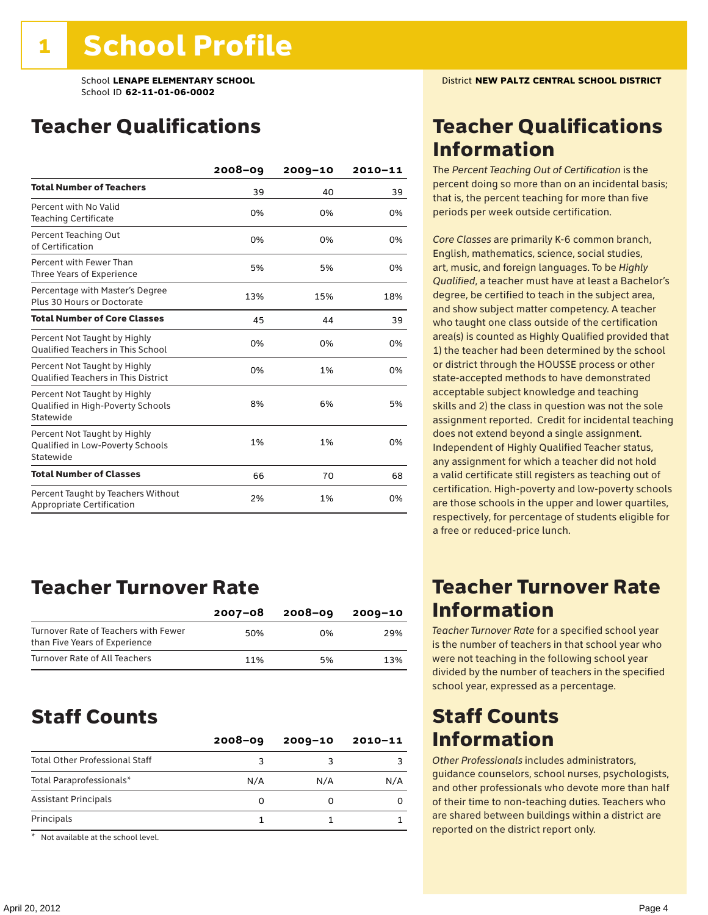### Teacher Qualifications

|                                                                                | $2008 - 09$ | $2009 - 10$ | 2010-11 |
|--------------------------------------------------------------------------------|-------------|-------------|---------|
| <b>Total Number of Teachers</b>                                                | 39          | 40          | 39      |
| Percent with No Valid<br><b>Teaching Certificate</b>                           | 0%          | 0%          | 0%      |
| Percent Teaching Out<br>of Certification                                       | 0%          | 0%          | 0%      |
| Percent with Fewer Than<br>Three Years of Experience                           | 5%          | 5%          | 0%      |
| Percentage with Master's Degree<br>Plus 30 Hours or Doctorate                  | 13%         | 15%         | 18%     |
| <b>Total Number of Core Classes</b>                                            | 45          | 44          | 39      |
| Percent Not Taught by Highly<br><b>Qualified Teachers in This School</b>       | 0%          | 0%          | 0%      |
| Percent Not Taught by Highly<br><b>Oualified Teachers in This District</b>     | 0%          | 1%          | 0%      |
| Percent Not Taught by Highly<br>Qualified in High-Poverty Schools<br>Statewide | 8%          | 6%          | 5%      |
| Percent Not Taught by Highly<br>Qualified in Low-Poverty Schools<br>Statewide  | 1%          | 1%          | 0%      |
| <b>Total Number of Classes</b>                                                 | 66          | 70          | 68      |
| Percent Taught by Teachers Without<br>Appropriate Certification                | 2%          | 1%          | 0%      |

### Teacher Turnover Rate

|                                                                       | 2007-08 | $2008 - 09$ | 2009-10 |
|-----------------------------------------------------------------------|---------|-------------|---------|
| Turnover Rate of Teachers with Fewer<br>than Five Years of Experience | 50%     | በ%          | 29%     |
| Turnover Rate of All Teachers                                         | 11%     | 5%          | 13%     |

### Staff Counts

| $2008 - 09$ | $2009 - 10$ | $2010 - 11$ |
|-------------|-------------|-------------|
| 3           |             |             |
| N/A         | N/A         | N/A         |
| 0           |             |             |
|             |             |             |
|             |             |             |

\* Not available at the school level.

### Teacher Qualifications Information

The *Percent Teaching Out of Certification* is the percent doing so more than on an incidental basis; that is, the percent teaching for more than five periods per week outside certification.

*Core Classes* are primarily K-6 common branch, English, mathematics, science, social studies, art, music, and foreign languages. To be *Highly Qualified*, a teacher must have at least a Bachelor's degree, be certified to teach in the subject area, and show subject matter competency. A teacher who taught one class outside of the certification area(s) is counted as Highly Qualified provided that 1) the teacher had been determined by the school or district through the HOUSSE process or other state-accepted methods to have demonstrated acceptable subject knowledge and teaching skills and 2) the class in question was not the sole assignment reported. Credit for incidental teaching does not extend beyond a single assignment. Independent of Highly Qualified Teacher status, any assignment for which a teacher did not hold a valid certificate still registers as teaching out of certification. High-poverty and low-poverty schools are those schools in the upper and lower quartiles, respectively, for percentage of students eligible for a free or reduced-price lunch.

### Teacher Turnover Rate Information

*Teacher Turnover Rate* for a specified school year is the number of teachers in that school year who were not teaching in the following school year divided by the number of teachers in the specified school year, expressed as a percentage.

### Staff Counts Information

*Other Professionals* includes administrators, guidance counselors, school nurses, psychologists, and other professionals who devote more than half of their time to non-teaching duties. Teachers who are shared between buildings within a district are reported on the district report only.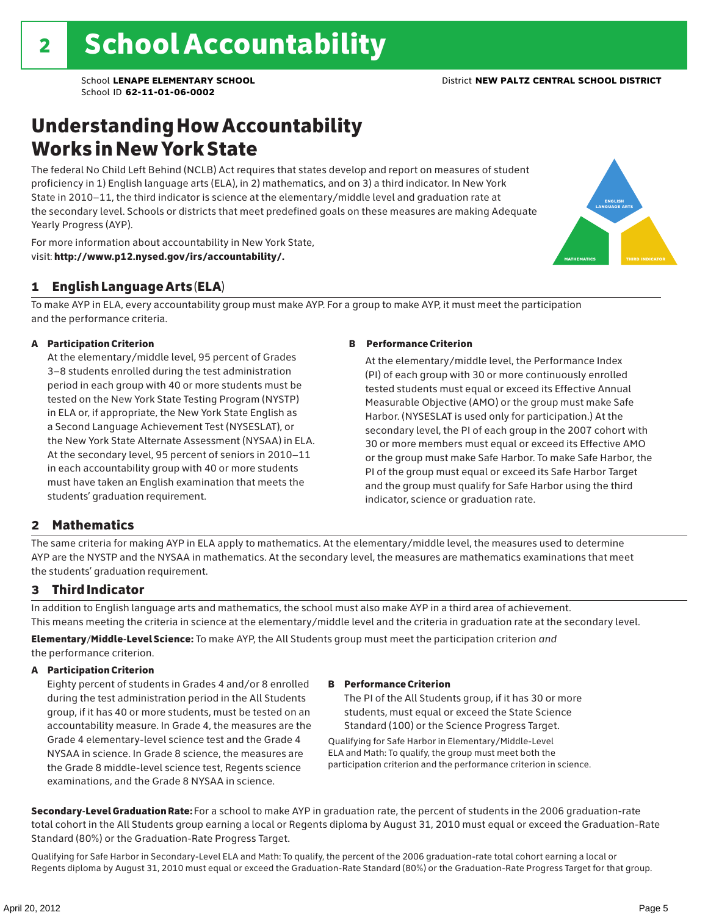### Understanding How Accountability Works in New York State

The federal No Child Left Behind (NCLB) Act requires that states develop and report on measures of student proficiency in 1) English language arts (ELA), in 2) mathematics, and on 3) a third indicator. In New York State in 2010–11, the third indicator is science at the elementary/middle level and graduation rate at the secondary level. Schools or districts that meet predefined goals on these measures are making Adequate Yearly Progress (AYP).



For more information about accountability in New York State, visit: http://www.p12.nysed.gov/irs/accountability/.

### 1 English Language Arts (ELA)

To make AYP in ELA, every accountability group must make AYP. For a group to make AYP, it must meet the participation and the performance criteria.

#### A Participation Criterion

At the elementary/middle level, 95 percent of Grades 3–8 students enrolled during the test administration period in each group with 40 or more students must be tested on the New York State Testing Program (NYSTP) in ELA or, if appropriate, the New York State English as a Second Language Achievement Test (NYSESLAT), or the New York State Alternate Assessment (NYSAA) in ELA. At the secondary level, 95 percent of seniors in 2010–11 in each accountability group with 40 or more students must have taken an English examination that meets the students' graduation requirement.

#### B Performance Criterion

At the elementary/middle level, the Performance Index (PI) of each group with 30 or more continuously enrolled tested students must equal or exceed its Effective Annual Measurable Objective (AMO) or the group must make Safe Harbor. (NYSESLAT is used only for participation.) At the secondary level, the PI of each group in the 2007 cohort with 30 or more members must equal or exceed its Effective AMO or the group must make Safe Harbor. To make Safe Harbor, the PI of the group must equal or exceed its Safe Harbor Target and the group must qualify for Safe Harbor using the third indicator, science or graduation rate.

### 2 Mathematics

The same criteria for making AYP in ELA apply to mathematics. At the elementary/middle level, the measures used to determine AYP are the NYSTP and the NYSAA in mathematics. At the secondary level, the measures are mathematics examinations that meet the students' graduation requirement.

#### 3 Third Indicator

In addition to English language arts and mathematics, the school must also make AYP in a third area of achievement. This means meeting the criteria in science at the elementary/middle level and the criteria in graduation rate at the secondary level.

Elementary/Middle-Level Science: To make AYP, the All Students group must meet the participation criterion *and* the performance criterion.

#### A Participation Criterion

Eighty percent of students in Grades 4 and/or 8 enrolled during the test administration period in the All Students group, if it has 40 or more students, must be tested on an accountability measure. In Grade 4, the measures are the Grade 4 elementary-level science test and the Grade 4 NYSAA in science. In Grade 8 science, the measures are the Grade 8 middle-level science test, Regents science examinations, and the Grade 8 NYSAA in science.

#### B Performance Criterion

The PI of the All Students group, if it has 30 or more students, must equal or exceed the State Science Standard (100) or the Science Progress Target.

Qualifying for Safe Harbor in Elementary/Middle-Level ELA and Math: To qualify, the group must meet both the participation criterion and the performance criterion in science.

Secondary-Level Graduation Rate: For a school to make AYP in graduation rate, the percent of students in the 2006 graduation-rate total cohort in the All Students group earning a local or Regents diploma by August 31, 2010 must equal or exceed the Graduation-Rate Standard (80%) or the Graduation-Rate Progress Target.

Qualifying for Safe Harbor in Secondary-Level ELA and Math: To qualify, the percent of the 2006 graduation-rate total cohort earning a local or Regents diploma by August 31, 2010 must equal or exceed the Graduation-Rate Standard (80%) or the Graduation-Rate Progress Target for that group.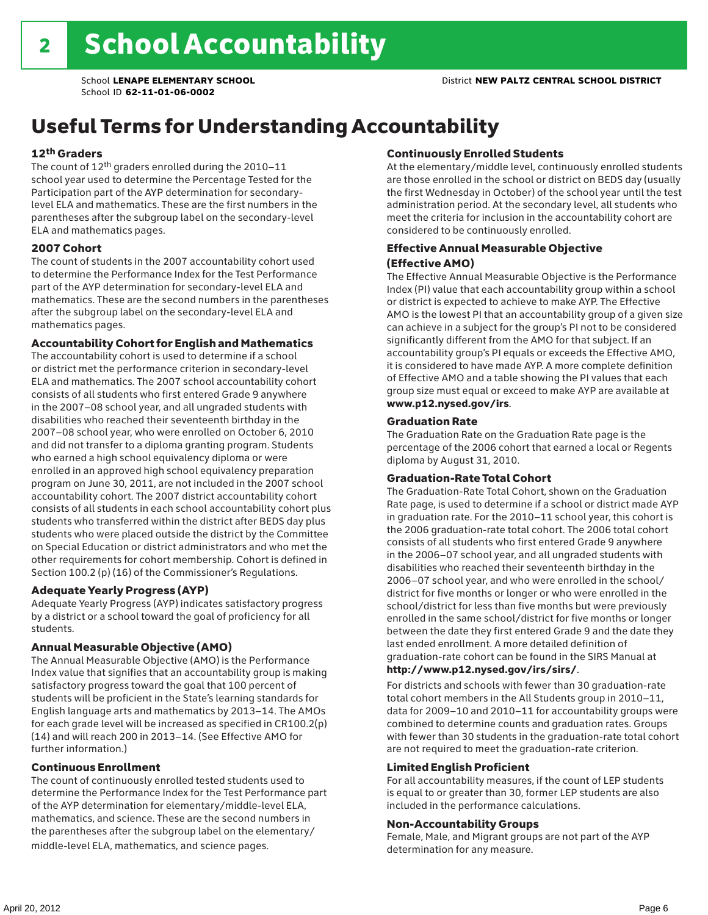## Useful Terms for Understanding Accountability

#### 12th Graders

The count of 12th graders enrolled during the 2010–11 school year used to determine the Percentage Tested for the Participation part of the AYP determination for secondarylevel ELA and mathematics. These are the first numbers in the parentheses after the subgroup label on the secondary-level ELA and mathematics pages.

#### 2007 Cohort

The count of students in the 2007 accountability cohort used to determine the Performance Index for the Test Performance part of the AYP determination for secondary-level ELA and mathematics. These are the second numbers in the parentheses after the subgroup label on the secondary-level ELA and mathematics pages.

#### Accountability Cohort for English and Mathematics

The accountability cohort is used to determine if a school or district met the performance criterion in secondary-level ELA and mathematics. The 2007 school accountability cohort consists of all students who first entered Grade 9 anywhere in the 2007–08 school year, and all ungraded students with disabilities who reached their seventeenth birthday in the 2007–08 school year, who were enrolled on October 6, 2010 and did not transfer to a diploma granting program. Students who earned a high school equivalency diploma or were enrolled in an approved high school equivalency preparation program on June 30, 2011, are not included in the 2007 school accountability cohort. The 2007 district accountability cohort consists of all students in each school accountability cohort plus students who transferred within the district after BEDS day plus students who were placed outside the district by the Committee on Special Education or district administrators and who met the other requirements for cohort membership. Cohort is defined in Section 100.2 (p) (16) of the Commissioner's Regulations.

#### Adequate Yearly Progress (AYP)

Adequate Yearly Progress (AYP) indicates satisfactory progress by a district or a school toward the goal of proficiency for all students.

#### Annual Measurable Objective (AMO)

The Annual Measurable Objective (AMO) is the Performance Index value that signifies that an accountability group is making satisfactory progress toward the goal that 100 percent of students will be proficient in the State's learning standards for English language arts and mathematics by 2013–14. The AMOs for each grade level will be increased as specified in CR100.2(p) (14) and will reach 200 in 2013–14. (See Effective AMO for further information.)

#### Continuous Enrollment

The count of continuously enrolled tested students used to determine the Performance Index for the Test Performance part of the AYP determination for elementary/middle-level ELA, mathematics, and science. These are the second numbers in the parentheses after the subgroup label on the elementary/ middle-level ELA, mathematics, and science pages.

#### Continuously Enrolled Students

At the elementary/middle level, continuously enrolled students are those enrolled in the school or district on BEDS day (usually the first Wednesday in October) of the school year until the test administration period. At the secondary level, all students who meet the criteria for inclusion in the accountability cohort are considered to be continuously enrolled.

#### Effective Annual Measurable Objective (Effective AMO)

The Effective Annual Measurable Objective is the Performance Index (PI) value that each accountability group within a school or district is expected to achieve to make AYP. The Effective AMO is the lowest PI that an accountability group of a given size can achieve in a subject for the group's PI not to be considered significantly different from the AMO for that subject. If an accountability group's PI equals or exceeds the Effective AMO, it is considered to have made AYP. A more complete definition of Effective AMO and a table showing the PI values that each group size must equal or exceed to make AYP are available at www.p12.nysed.gov/irs.

#### Graduation Rate

The Graduation Rate on the Graduation Rate page is the percentage of the 2006 cohort that earned a local or Regents diploma by August 31, 2010.

#### Graduation-Rate Total Cohort

The Graduation-Rate Total Cohort, shown on the Graduation Rate page, is used to determine if a school or district made AYP in graduation rate. For the 2010–11 school year, this cohort is the 2006 graduation-rate total cohort. The 2006 total cohort consists of all students who first entered Grade 9 anywhere in the 2006–07 school year, and all ungraded students with disabilities who reached their seventeenth birthday in the 2006–07 school year, and who were enrolled in the school/ district for five months or longer or who were enrolled in the school/district for less than five months but were previously enrolled in the same school/district for five months or longer between the date they first entered Grade 9 and the date they last ended enrollment. A more detailed definition of graduation-rate cohort can be found in the SIRS Manual at

#### http://www.p12.nysed.gov/irs/sirs/.

For districts and schools with fewer than 30 graduation-rate total cohort members in the All Students group in 2010–11, data for 2009–10 and 2010–11 for accountability groups were combined to determine counts and graduation rates. Groups with fewer than 30 students in the graduation-rate total cohort are not required to meet the graduation-rate criterion.

#### Limited English Proficient

For all accountability measures, if the count of LEP students is equal to or greater than 30, former LEP students are also included in the performance calculations.

#### Non-Accountability Groups

Female, Male, and Migrant groups are not part of the AYP determination for any measure.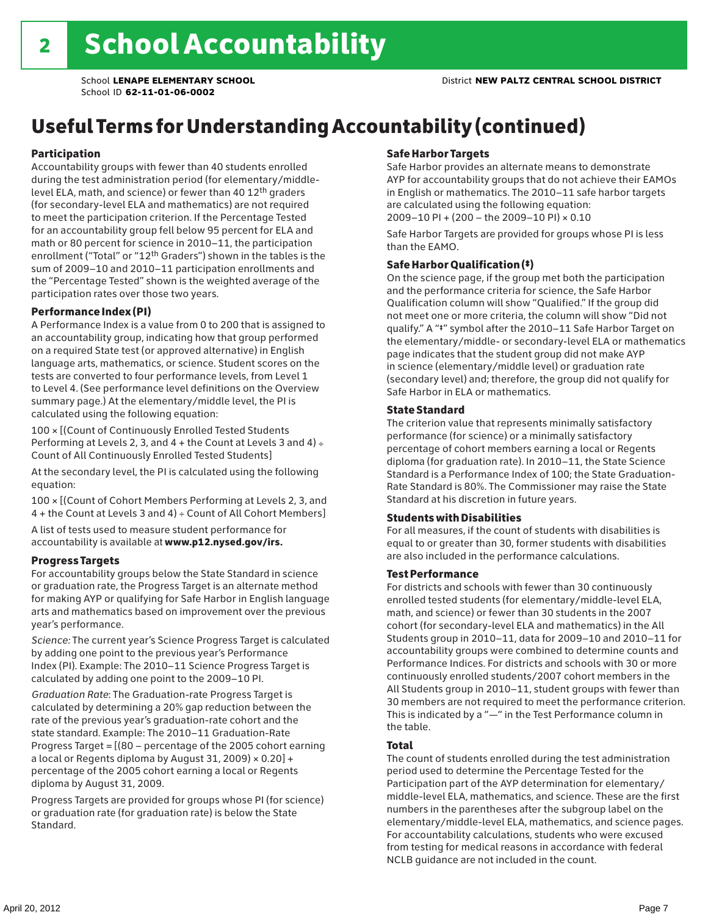## Useful Terms for Understanding Accountability (continued)

#### Participation

Accountability groups with fewer than 40 students enrolled during the test administration period (for elementary/middlelevel ELA, math, and science) or fewer than 40 12th graders (for secondary-level ELA and mathematics) are not required to meet the participation criterion. If the Percentage Tested for an accountability group fell below 95 percent for ELA and math or 80 percent for science in 2010–11, the participation enrollment ("Total" or "12th Graders") shown in the tables is the sum of 2009–10 and 2010–11 participation enrollments and the "Percentage Tested" shown is the weighted average of the participation rates over those two years.

#### Performance Index (PI)

A Performance Index is a value from 0 to 200 that is assigned to an accountability group, indicating how that group performed on a required State test (or approved alternative) in English language arts, mathematics, or science. Student scores on the tests are converted to four performance levels, from Level 1 to Level 4. (See performance level definitions on the Overview summary page.) At the elementary/middle level, the PI is calculated using the following equation:

100 × [(Count of Continuously Enrolled Tested Students Performing at Levels 2, 3, and  $4 +$  the Count at Levels 3 and  $4) \div$ Count of All Continuously Enrolled Tested Students]

At the secondary level, the PI is calculated using the following equation:

100 × [(Count of Cohort Members Performing at Levels 2, 3, and 4 + the Count at Levels 3 and 4) ÷ Count of All Cohort Members]

A list of tests used to measure student performance for accountability is available at www.p12.nysed.gov/irs.

#### Progress Targets

For accountability groups below the State Standard in science or graduation rate, the Progress Target is an alternate method for making AYP or qualifying for Safe Harbor in English language arts and mathematics based on improvement over the previous year's performance.

*Science:* The current year's Science Progress Target is calculated by adding one point to the previous year's Performance Index (PI). Example: The 2010–11 Science Progress Target is calculated by adding one point to the 2009–10 PI.

*Graduation Rate*: The Graduation-rate Progress Target is calculated by determining a 20% gap reduction between the rate of the previous year's graduation-rate cohort and the state standard. Example: The 2010–11 Graduation-Rate Progress Target = [(80 – percentage of the 2005 cohort earning a local or Regents diploma by August 31, 2009)  $\times$  0.20] + percentage of the 2005 cohort earning a local or Regents diploma by August 31, 2009.

Progress Targets are provided for groups whose PI (for science) or graduation rate (for graduation rate) is below the State Standard.

#### Safe Harbor Targets

Safe Harbor provides an alternate means to demonstrate AYP for accountability groups that do not achieve their EAMOs in English or mathematics. The 2010–11 safe harbor targets are calculated using the following equation: 2009–10 PI + (200 – the 2009–10 PI) × 0.10

Safe Harbor Targets are provided for groups whose PI is less than the EAMO.

#### Safe Harbor Qualification (‡)

On the science page, if the group met both the participation and the performance criteria for science, the Safe Harbor Qualification column will show "Qualified." If the group did not meet one or more criteria, the column will show "Did not qualify." A "‡" symbol after the 2010–11 Safe Harbor Target on the elementary/middle- or secondary-level ELA or mathematics page indicates that the student group did not make AYP in science (elementary/middle level) or graduation rate (secondary level) and; therefore, the group did not qualify for Safe Harbor in ELA or mathematics.

#### State Standard

The criterion value that represents minimally satisfactory performance (for science) or a minimally satisfactory percentage of cohort members earning a local or Regents diploma (for graduation rate). In 2010–11, the State Science Standard is a Performance Index of 100; the State Graduation-Rate Standard is 80%. The Commissioner may raise the State Standard at his discretion in future years.

#### Students with Disabilities

For all measures, if the count of students with disabilities is equal to or greater than 30, former students with disabilities are also included in the performance calculations.

#### Test Performance

For districts and schools with fewer than 30 continuously enrolled tested students (for elementary/middle-level ELA, math, and science) or fewer than 30 students in the 2007 cohort (for secondary-level ELA and mathematics) in the All Students group in 2010–11, data for 2009–10 and 2010–11 for accountability groups were combined to determine counts and Performance Indices. For districts and schools with 30 or more continuously enrolled students/2007 cohort members in the All Students group in 2010–11, student groups with fewer than 30 members are not required to meet the performance criterion. This is indicated by a "—" in the Test Performance column in the table.

#### Total

The count of students enrolled during the test administration period used to determine the Percentage Tested for the Participation part of the AYP determination for elementary/ middle-level ELA, mathematics, and science. These are the first numbers in the parentheses after the subgroup label on the elementary/middle-level ELA, mathematics, and science pages. For accountability calculations, students who were excused from testing for medical reasons in accordance with federal NCLB guidance are not included in the count.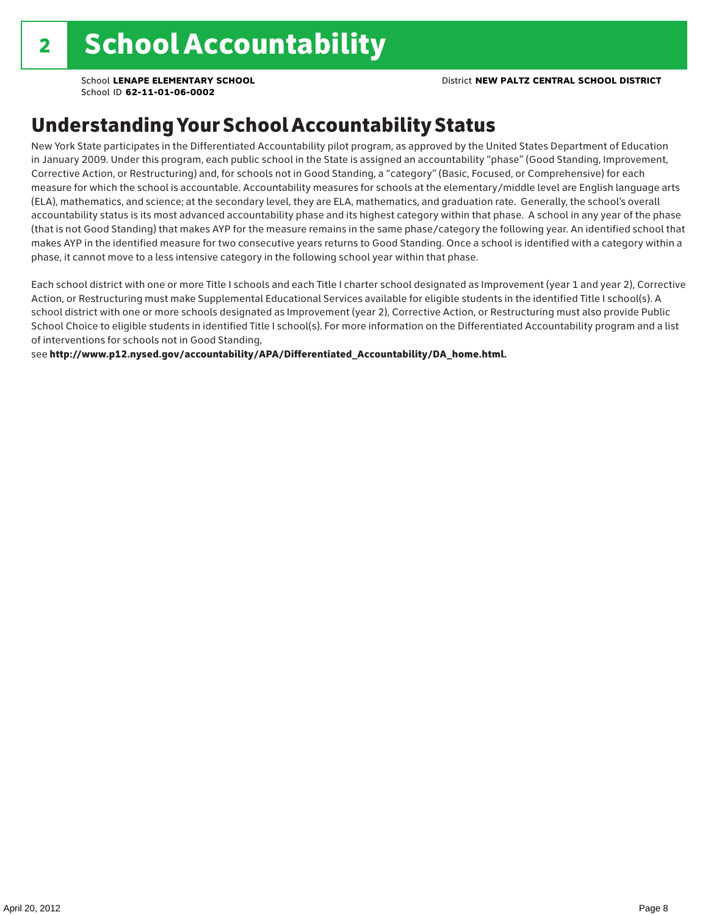School **LENAPE ELEMENTARY SCHOOL** District **NEW PALTZ CENTRAL SCHOOL DISTRICT**

School ID **62-11-01-06-0002**

### Understanding Your School Accountability Status

New York State participates in the Differentiated Accountability pilot program, as approved by the United States Department of Education in January 2009. Under this program, each public school in the State is assigned an accountability "phase" (Good Standing, Improvement, Corrective Action, or Restructuring) and, for schools not in Good Standing, a "category" (Basic, Focused, or Comprehensive) for each measure for which the school is accountable. Accountability measures for schools at the elementary/middle level are English language arts (ELA), mathematics, and science; at the secondary level, they are ELA, mathematics, and graduation rate. Generally, the school's overall accountability status is its most advanced accountability phase and its highest category within that phase. A school in any year of the phase (that is not Good Standing) that makes AYP for the measure remains in the same phase/category the following year. An identified school that makes AYP in the identified measure for two consecutive years returns to Good Standing. Once a school is identified with a category within a phase, it cannot move to a less intensive category in the following school year within that phase.

Each school district with one or more Title I schools and each Title I charter school designated as Improvement (year 1 and year 2), Corrective Action, or Restructuring must make Supplemental Educational Services available for eligible students in the identified Title I school(s). A school district with one or more schools designated as Improvement (year 2), Corrective Action, or Restructuring must also provide Public School Choice to eligible students in identified Title I school(s). For more information on the Differentiated Accountability program and a list of interventions for schools not in Good Standing,

see http://www.p12.nysed.gov/accountability/APA/Differentiated\_Accountability/DA\_home.html.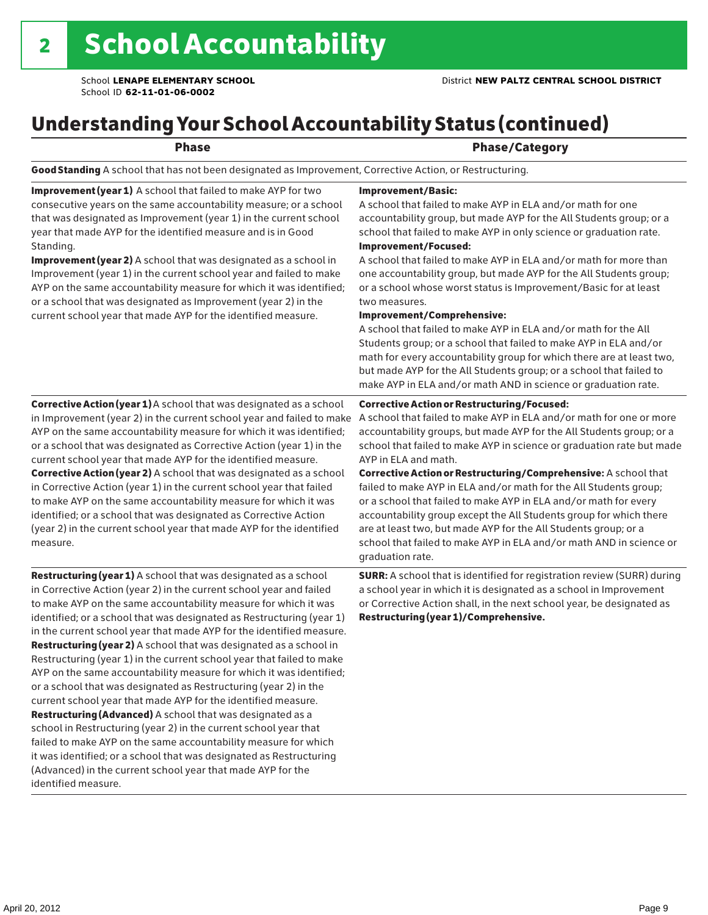## Understanding Your School Accountability Status (continued)

### Phase **Phase** Phase/Category

Good Standing A school that has not been designated as Improvement, Corrective Action, or Restructuring.

Improvement (year 1) A school that failed to make AYP for two consecutive years on the same accountability measure; or a school that was designated as Improvement (year 1) in the current school year that made AYP for the identified measure and is in Good Standing.

Improvement (year 2) A school that was designated as a school in Improvement (year 1) in the current school year and failed to make AYP on the same accountability measure for which it was identified; or a school that was designated as Improvement (year 2) in the current school year that made AYP for the identified measure.

#### Corrective Action (year 1) A school that was designated as a school in Improvement (year 2) in the current school year and failed to make AYP on the same accountability measure for which it was identified; or a school that was designated as Corrective Action (year 1) in the current school year that made AYP for the identified measure. Corrective Action (year 2) A school that was designated as a school in Corrective Action (year 1) in the current school year that failed to make AYP on the same accountability measure for which it was identified; or a school that was designated as Corrective Action (year 2) in the current school year that made AYP for the identified measure.

Restructuring (year 1) A school that was designated as a school in Corrective Action (year 2) in the current school year and failed to make AYP on the same accountability measure for which it was identified; or a school that was designated as Restructuring (year 1) in the current school year that made AYP for the identified measure. Restructuring (year 2) A school that was designated as a school in Restructuring (year 1) in the current school year that failed to make AYP on the same accountability measure for which it was identified; or a school that was designated as Restructuring (year 2) in the current school year that made AYP for the identified measure. Restructuring (Advanced) A school that was designated as a school in Restructuring (year 2) in the current school year that failed to make AYP on the same accountability measure for which it was identified; or a school that was designated as Restructuring (Advanced) in the current school year that made AYP for the identified measure.

#### Improvement/Basic:

A school that failed to make AYP in ELA and/or math for one accountability group, but made AYP for the All Students group; or a school that failed to make AYP in only science or graduation rate. Improvement/Focused:

A school that failed to make AYP in ELA and/or math for more than one accountability group, but made AYP for the All Students group; or a school whose worst status is Improvement/Basic for at least two measures.

#### Improvement/Comprehensive:

A school that failed to make AYP in ELA and/or math for the All Students group; or a school that failed to make AYP in ELA and/or math for every accountability group for which there are at least two, but made AYP for the All Students group; or a school that failed to make AYP in ELA and/or math AND in science or graduation rate.

#### Corrective Action or Restructuring/Focused:

A school that failed to make AYP in ELA and/or math for one or more accountability groups, but made AYP for the All Students group; or a school that failed to make AYP in science or graduation rate but made AYP in ELA and math.

Corrective Action or Restructuring/Comprehensive: A school that failed to make AYP in ELA and/or math for the All Students group; or a school that failed to make AYP in ELA and/or math for every accountability group except the All Students group for which there are at least two, but made AYP for the All Students group; or a school that failed to make AYP in ELA and/or math AND in science or graduation rate.

SURR: A school that is identified for registration review (SURR) during a school year in which it is designated as a school in Improvement or Corrective Action shall, in the next school year, be designated as Restructuring (year 1)/Comprehensive.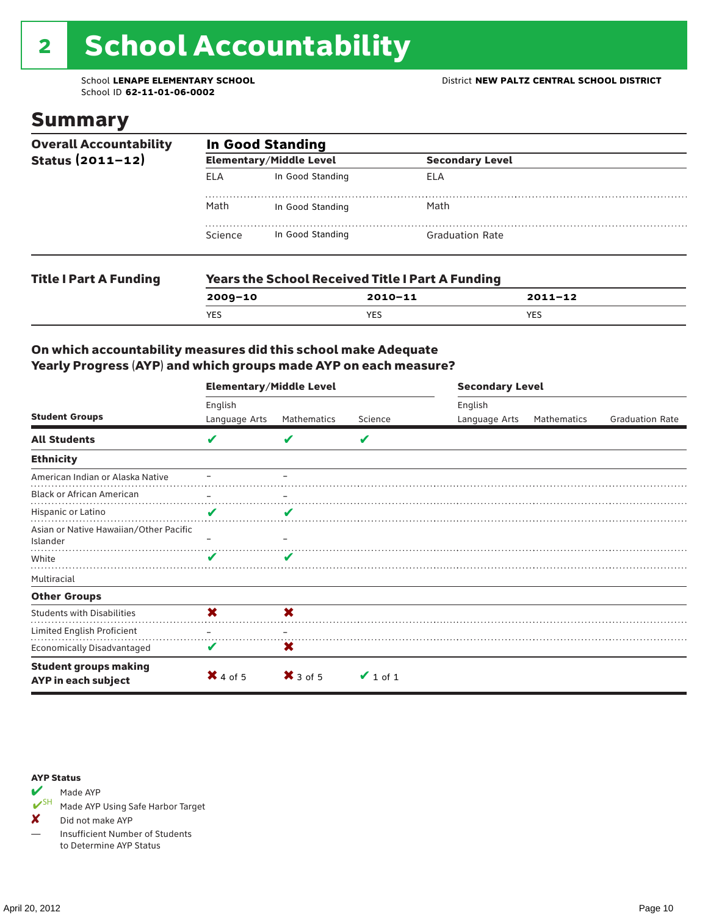# 2 School Accountability

School ID **62-11-01-06-0002**

### Summary

| <b>Overall Accountability</b> | <b>In Good Standing</b> |                                |                                                         |             |  |  |  |
|-------------------------------|-------------------------|--------------------------------|---------------------------------------------------------|-------------|--|--|--|
| Status $(2011 - 12)$          |                         | <b>Elementary/Middle Level</b> | <b>Secondary Level</b>                                  |             |  |  |  |
|                               | <b>ELA</b>              | In Good Standing               | ELA                                                     |             |  |  |  |
|                               | Math                    | In Good Standing               | Math                                                    |             |  |  |  |
|                               | Science                 | In Good Standing               | <b>Graduation Rate</b>                                  |             |  |  |  |
| <b>Title I Part A Funding</b> |                         |                                | <b>Years the School Received Title I Part A Funding</b> |             |  |  |  |
|                               | $2009 - 10$             |                                | $2010 - 11$                                             | $2011 - 12$ |  |  |  |

YES YES YES

### On which accountability measures did this school make Adequate Yearly Progress (AYP) and which groups made AYP on each measure?

|                                                     | <b>Elementary/Middle Level</b> |                     |               |               | <b>Secondary Level</b> |                        |  |  |
|-----------------------------------------------------|--------------------------------|---------------------|---------------|---------------|------------------------|------------------------|--|--|
|                                                     | English                        |                     |               | English       |                        |                        |  |  |
| <b>Student Groups</b>                               | Language Arts                  | Mathematics         | Science       | Language Arts | <b>Mathematics</b>     | <b>Graduation Rate</b> |  |  |
| <b>All Students</b>                                 | V                              | V                   | V             |               |                        |                        |  |  |
| <b>Ethnicity</b>                                    |                                |                     |               |               |                        |                        |  |  |
| American Indian or Alaska Native                    |                                |                     |               |               |                        |                        |  |  |
| <b>Black or African American</b>                    |                                |                     |               |               |                        |                        |  |  |
| Hispanic or Latino                                  | V                              | V                   |               |               |                        |                        |  |  |
| Asian or Native Hawaiian/Other Pacific<br>Islander  |                                |                     |               |               |                        |                        |  |  |
| White                                               | v                              |                     |               |               |                        |                        |  |  |
| Multiracial                                         |                                |                     |               |               |                        |                        |  |  |
| <b>Other Groups</b>                                 |                                |                     |               |               |                        |                        |  |  |
| <b>Students with Disabilities</b>                   | X                              | X                   |               |               |                        |                        |  |  |
| Limited English Proficient                          |                                |                     |               |               |                        |                        |  |  |
| <b>Economically Disadvantaged</b>                   | V                              | X                   |               |               |                        |                        |  |  |
| <b>Student groups making</b><br>AYP in each subject | $\mathsf{X}$ 4 of 5            | $\mathsf{X}$ 3 of 5 | $\vee$ 1 of 1 |               |                        |                        |  |  |

#### AYP Status



Made AYP Using Safe Harbor Target

✘ Did not make AYP

— Insufficient Number of Students to Determine AYP Status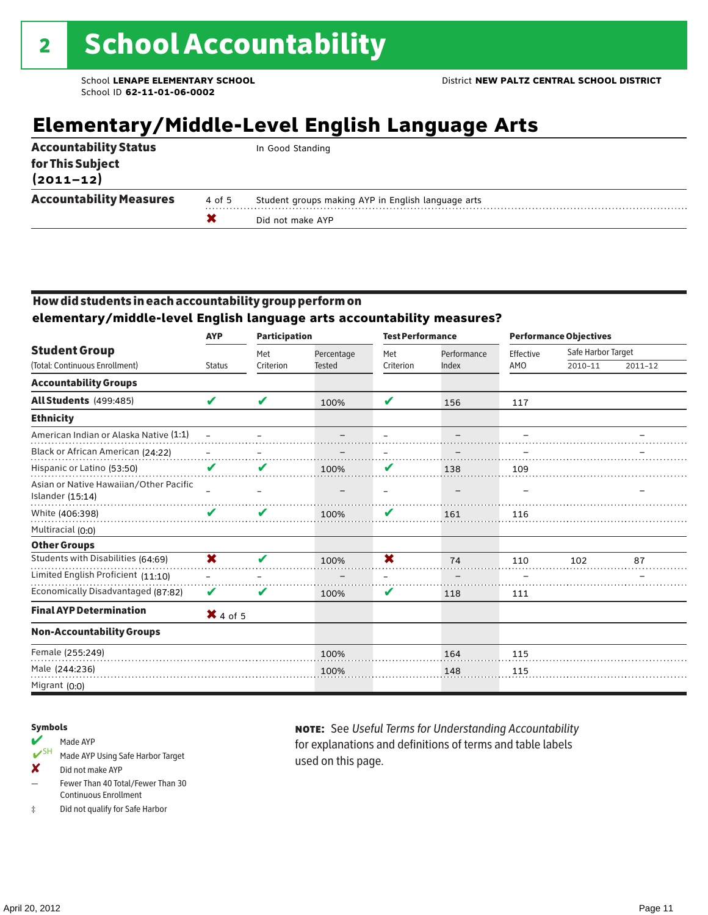## **Elementary/Middle-Level English Language Arts**

|                                   |        | Did not make AYP                                   |
|-----------------------------------|--------|----------------------------------------------------|
| <b>Accountability Measures</b>    | 4 of 5 | Student groups making AYP in English language arts |
| for This Subject<br>$(2011 - 12)$ |        |                                                    |
| <b>Accountability Status</b>      |        | In Good Standing                                   |

### How did students in each accountability group perform on

### **elementary/middle-level English language arts accountability measures?**

|                                                            | <b>AYP</b>          | <b>Participation</b> |               | <b>Test Performance</b>  |             | <b>Performance Objectives</b> |                    |             |
|------------------------------------------------------------|---------------------|----------------------|---------------|--------------------------|-------------|-------------------------------|--------------------|-------------|
| <b>Student Group</b>                                       |                     | Met                  | Percentage    | Met                      | Performance | Effective                     | Safe Harbor Target |             |
| (Total: Continuous Enrollment)                             | <b>Status</b>       | Criterion            | <b>Tested</b> | Criterion                | Index       | AMO                           | 2010-11            | $2011 - 12$ |
| <b>Accountability Groups</b>                               |                     |                      |               |                          |             |                               |                    |             |
| All Students (499:485)                                     | V                   | V                    | 100%          | V                        | 156         | 117                           |                    |             |
| <b>Ethnicity</b>                                           |                     |                      |               |                          |             |                               |                    |             |
| American Indian or Alaska Native (1:1)                     |                     |                      |               |                          |             |                               |                    |             |
| Black or African American (24:22)                          |                     |                      |               |                          |             |                               |                    |             |
| Hispanic or Latino (53:50)                                 | V                   | V                    | 100%          | V                        | 138         | 109                           |                    |             |
| Asian or Native Hawaiian/Other Pacific<br>Islander (15:14) |                     |                      |               | $\overline{\phantom{0}}$ |             |                               |                    |             |
| White (406:398)                                            | V                   | V                    | 100%          | V                        | 161         | 116                           |                    |             |
| Multiracial (0:0)                                          |                     |                      |               |                          |             |                               |                    |             |
| <b>Other Groups</b>                                        |                     |                      |               |                          |             |                               |                    |             |
| Students with Disabilities (64:69)                         | X                   | V                    | 100%          | $\overline{\mathbf{x}}$  | 74          | 110                           | 102                | 87          |
| Limited English Proficient (11:10)                         |                     |                      |               |                          |             |                               |                    |             |
| Economically Disadvantaged (87:82)                         | V                   | V                    | 100%          | V                        | 118         | 111                           |                    |             |
| <b>Final AYP Determination</b>                             | $\mathsf{X}$ 4 of 5 |                      |               |                          |             |                               |                    |             |
| <b>Non-Accountability Groups</b>                           |                     |                      |               |                          |             |                               |                    |             |
| Female (255:249)                                           |                     |                      | 100%          |                          | 164         | 115                           |                    |             |
| Male (244:236)                                             |                     |                      | 100%          |                          | 148         | 115                           |                    |             |
| Migrant (0:0)                                              |                     |                      |               |                          |             |                               |                    |             |

#### Symbols

#### Made AYP

- ✔SH Made AYP Using Safe Harbor Target
- ✘ Did not make AYP
- Fewer Than 40 Total/Fewer Than 30 Continuous Enrollment
- ‡ Did not qualify for Safe Harbor

note: See *Useful Terms for Understanding Accountability*  for explanations and definitions of terms and table labels used on this page.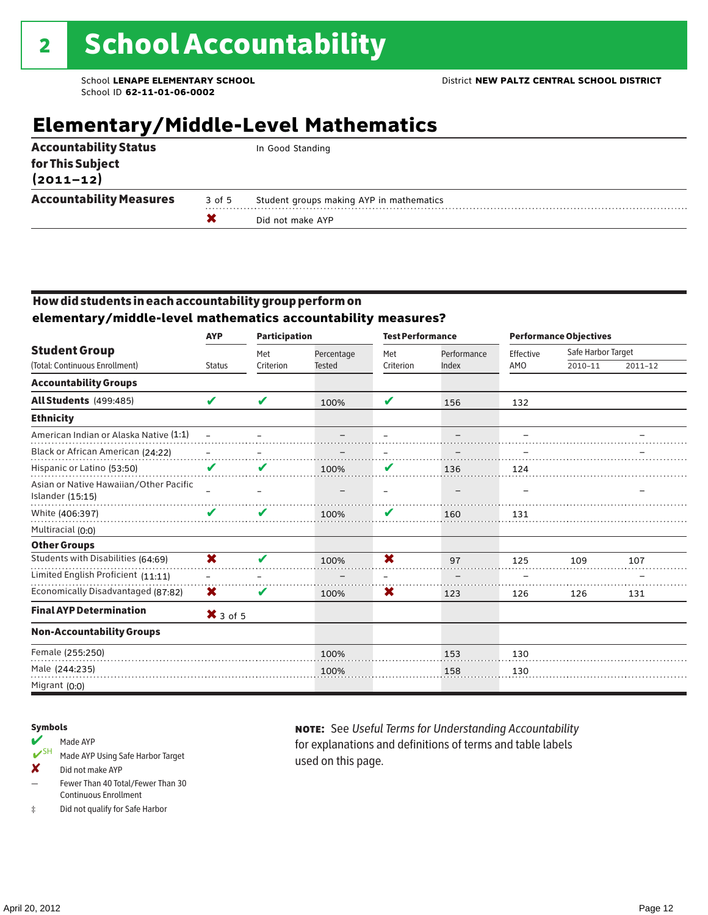## **Elementary/Middle-Level Mathematics**

| <b>Accountability Status</b>      |        | In Good Standing                         |
|-----------------------------------|--------|------------------------------------------|
| for This Subject<br>$(2011 - 12)$ |        |                                          |
| <b>Accountability Measures</b>    | 3 of 5 | Student groups making AYP in mathematics |
|                                   |        | Did not make AYP                         |

### How did students in each accountability group perform on **elementary/middle-level mathematics accountability measures?**

|                                                            | <b>AYP</b>              | <b>Participation</b> |                             | <b>Test Performance</b> |                      | <b>Performance Objectives</b> |                               |         |  |
|------------------------------------------------------------|-------------------------|----------------------|-----------------------------|-------------------------|----------------------|-------------------------------|-------------------------------|---------|--|
| <b>Student Group</b><br>(Total: Continuous Enrollment)     | <b>Status</b>           | Met<br>Criterion     | Percentage<br><b>Tested</b> | Met<br>Criterion        | Performance<br>Index | Effective<br>AMO              | Safe Harbor Target<br>2010-11 | 2011-12 |  |
|                                                            |                         |                      |                             |                         |                      |                               |                               |         |  |
| <b>Accountability Groups</b>                               |                         |                      |                             |                         |                      |                               |                               |         |  |
| <b>All Students (499:485)</b>                              | V                       | V                    | 100%                        | V                       | 156                  | 132                           |                               |         |  |
| <b>Ethnicity</b>                                           |                         |                      |                             |                         |                      |                               |                               |         |  |
| American Indian or Alaska Native (1:1)                     |                         |                      |                             |                         |                      |                               |                               |         |  |
| Black or African American (24:22)                          |                         |                      |                             |                         |                      |                               |                               |         |  |
| Hispanic or Latino (53:50)                                 | V                       | V                    | 100%                        | V                       | 136                  | 124                           |                               |         |  |
| Asian or Native Hawaiian/Other Pacific<br>Islander (15:15) |                         |                      |                             |                         |                      |                               |                               |         |  |
| White (406:397)                                            |                         | V                    | 100%                        | V                       | 160                  | 131                           |                               |         |  |
| Multiracial (0:0)                                          |                         |                      |                             |                         |                      |                               |                               |         |  |
| <b>Other Groups</b>                                        |                         |                      |                             |                         |                      |                               |                               |         |  |
| Students with Disabilities (64:69)                         | $\overline{\mathbf{x}}$ | V                    | 100%                        | $\overline{\mathbf{x}}$ | 97                   | 125                           | 109                           | 107     |  |
| Limited English Proficient (11:11)                         |                         |                      |                             |                         |                      |                               |                               |         |  |
| Economically Disadvantaged (87:82)                         | X                       | V                    | 100%                        | X                       | 123                  | 126                           | 126                           | 131     |  |
| <b>Final AYP Determination</b>                             | $X$ 3 of 5              |                      |                             |                         |                      |                               |                               |         |  |
| <b>Non-Accountability Groups</b>                           |                         |                      |                             |                         |                      |                               |                               |         |  |
| Female (255:250)                                           |                         |                      | 100%                        |                         | 153                  | 130                           |                               |         |  |
| Male (244:235)                                             |                         |                      | 100%                        |                         | 158                  | 130                           |                               |         |  |
| Migrant (0:0)                                              |                         |                      |                             |                         |                      |                               |                               |         |  |

#### Symbols

- Made AYP<br>
SH Made AYP Made AYP Using Safe Harbor Target
- ✘ Did not make AYP
- Fewer Than 40 Total/Fewer Than 30 Continuous Enrollment
- ‡ Did not qualify for Safe Harbor

note: See *Useful Terms for Understanding Accountability*  for explanations and definitions of terms and table labels used on this page.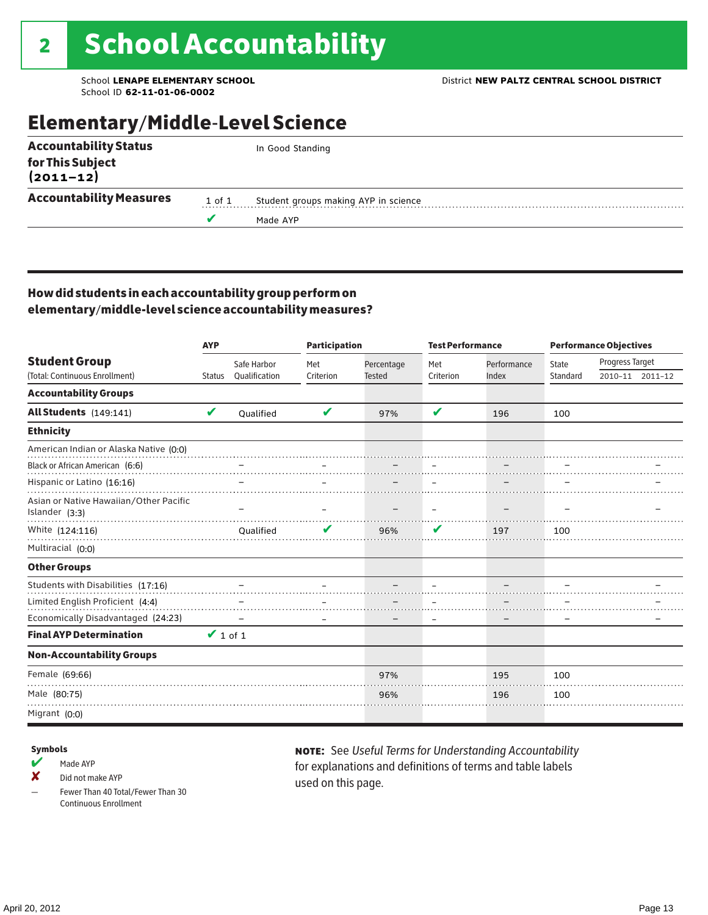### Elementary/Middle-Level Science

| <b>Accountability Status</b>   |        | In Good Standing                     |
|--------------------------------|--------|--------------------------------------|
| for This Subject<br>(2011–12)  |        |                                      |
| <b>Accountability Measures</b> | 1 of 1 | Student groups making AYP in science |
|                                |        | Made AYP                             |
|                                |        |                                      |

### How did students in each accountability group perform on elementary/middle-level science accountability measures?

|                                                          | <b>AYP</b>    |               | <b>Participation</b> |               | <b>Test Performance</b> |             | <b>Performance Objectives</b> |                 |                 |
|----------------------------------------------------------|---------------|---------------|----------------------|---------------|-------------------------|-------------|-------------------------------|-----------------|-----------------|
| <b>Student Group</b>                                     |               | Safe Harbor   | Met                  | Percentage    | Met                     | Performance | <b>State</b>                  | Progress Target |                 |
| (Total: Continuous Enrollment)                           | <b>Status</b> | Oualification | Criterion            | <b>Tested</b> | Criterion               | Index       | Standard                      |                 | 2010-11 2011-12 |
| <b>Accountability Groups</b>                             |               |               |                      |               |                         |             |                               |                 |                 |
| All Students (149:141)                                   | V             | Qualified     | V                    | 97%           | V                       | 196         | 100                           |                 |                 |
| <b>Ethnicity</b>                                         |               |               |                      |               |                         |             |                               |                 |                 |
| American Indian or Alaska Native (0:0)                   |               |               |                      |               |                         |             |                               |                 |                 |
| Black or African American (6:6)                          |               |               |                      |               |                         |             |                               |                 |                 |
| Hispanic or Latino (16:16)                               |               |               |                      |               |                         |             |                               |                 |                 |
| Asian or Native Hawaiian/Other Pacific<br>Islander (3:3) |               |               |                      |               |                         |             |                               |                 |                 |
| White (124:116)                                          |               | Qualified     |                      | 96%           | V                       | 197         | 100                           |                 |                 |
| Multiracial (0:0)                                        |               |               |                      |               |                         |             |                               |                 |                 |
| <b>Other Groups</b>                                      |               |               |                      |               |                         |             |                               |                 |                 |
| Students with Disabilities (17:16)                       |               |               |                      |               |                         |             |                               |                 |                 |
| Limited English Proficient (4:4)                         |               |               |                      |               |                         |             |                               |                 |                 |
| Economically Disadvantaged (24:23)                       |               |               |                      |               |                         |             |                               |                 |                 |
| <b>Final AYP Determination</b>                           | $\vee$ 1 of 1 |               |                      |               |                         |             |                               |                 |                 |
| <b>Non-Accountability Groups</b>                         |               |               |                      |               |                         |             |                               |                 |                 |
| Female (69:66)                                           |               |               |                      | 97%           |                         | 195         | 100                           |                 |                 |
| Male (80:75)                                             |               |               |                      | 96%           |                         | 196         | 100                           |                 |                 |
| Migrant (0:0)                                            |               |               |                      |               |                         |             |                               |                 |                 |

#### Symbols

 $M$  Made AYP

✘ Did not make AYP

Fewer Than 40 Total/Fewer Than 30 Continuous Enrollment

note: See *Useful Terms for Understanding Accountability*  for explanations and definitions of terms and table labels used on this page.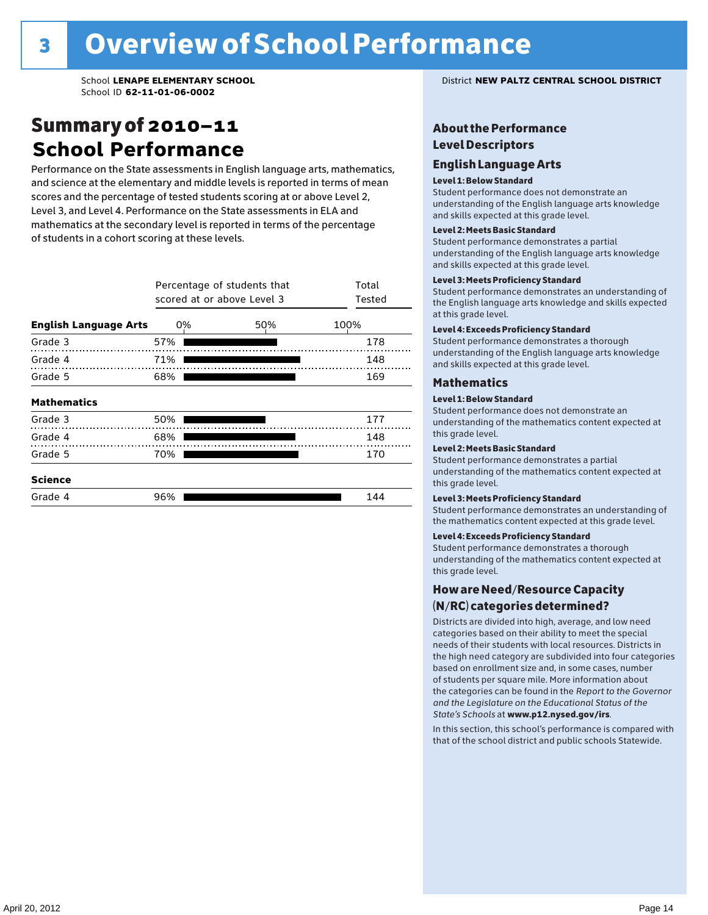### Summary of 2010–11 **School Performance**

Performance on the State assessments in English language arts, mathematics, and science at the elementary and middle levels is reported in terms of mean scores and the percentage of tested students scoring at or above Level 2, Level 3, and Level 4. Performance on the State assessments in ELA and mathematics at the secondary level is reported in terms of the percentage of students in a cohort scoring at these levels.

|                              | Percentage of students that<br>scored at or above Level 3 | Total<br>Tested |      |
|------------------------------|-----------------------------------------------------------|-----------------|------|
| <b>English Language Arts</b> | 0%                                                        | 50%             | 100% |
| Grade 3                      | 57%                                                       |                 | 178  |
| Grade 4                      | 71%                                                       |                 | 148  |
| Grade 5                      | 68%                                                       |                 | 169  |
| <b>Mathematics</b>           |                                                           |                 |      |
| Grade 3                      | 50%                                                       |                 | 177  |
| Grade 4                      | 68%                                                       |                 | 148  |
| Grade 5                      | 70%                                                       |                 | 170  |
| <b>Science</b>               |                                                           |                 |      |
| Grade 4                      | 96%                                                       |                 | 144  |

School **LENAPE ELEMENTARY SCHOOL** District **NEW PALTZ CENTRAL SCHOOL DISTRICT**

### About the Performance Level Descriptors

#### English Language Arts English Language Arts

#### Level 1: Below Standard

understanding of the content expected in the subjection of the subjection  $\mathcal{L}$ Student performance does not demonstrate an and skills expected at this grade level. understanding of the English language arts knowledge

#### Student performance demonstrates a partial Level 2: Meets Basic Standard understanding of the content expected in the subject of the subject of the subject of the subject of the subject

Student performance demonstrates a partial and skills expected at this grade level. Students performance demonstrates and understanding and understanding and understanding and understanding and u understanding of the English language arts knowledge

#### Level 3: Meets Proficiency Standard

Level 4: Meeting Learning Standards with Distinction. the English language arts knowledge and skills expected at this grade level.<br>at this grade level.  $\mathbf{u}$  and  $\mathbf{y}$  and  $\mathbf{u}$  the subjected in the subjected in the subjected in the subjection  $\mathbf{v}$ Student performance demonstrates an understanding of

### Level 4: Exceeds Proficiency Standard

understanding of the English language arts knowledge and skills expected at this grade level.<br>———————————————————— Student performance demonstrates a thorough

#### Districts are districts and low need and low need  $\sim$

#### categories based on their ability to meet the special Level 1: Below Standard

Student performance does not demonstrate an understanding of the mathematics content expected at  $\frac{1}{2}$  based on enrollment size and, in some cases, number  $\frac{1}{2}$  and,  $\frac{1}{2}$  and,  $\frac{1}{2}$ 

### $\overline{\phantom{a}}$  students about  $\overline{\phantom{a}}$  . More is about  $\overline{\phantom{a}}$  about  $\overline{\phantom{a}}$  about  $\overline{\phantom{a}}$

the categories can be found in the *Report to the Governor categories* can be found in the *Report to the Govern*or  $\alpha$ *and the Legislature on the Educational Status of the*  Student performance demonstrates a partial understanding of the mathematics content expected at this grade level.

### Level 3: Meets Proficiency Standard

Student performance demonstrates an understanding of the mathematics content expected at this grade level.

#### Level 4: Exceeds Proficiency Standard

Student performance demonstrates a thorough understanding of the mathematics content expected at this grade level.  $\mathcal{L}_{\text{max}}$  is performance with that of similar  $\mathcal{L}_{\text{max}}$ 

#### schools. The following factors are considered in grouping How are Need/Resource Capacity  $(N/RC)$  categories determined?  $\hphantom{N(2)}\sum_{n=1}^{\infty}\frac{1}{n}$

Districts are divided into high, average, and low need categories based on their ability to meet the special needs of their students with local resources. Districts in the high need category are subdivided into four categories based on enrollment size and, in some cases, number of students per square mile. More information about the categories can be found in the *Report to the Governor* Group: *State's Schools* at www.p12.nysed.gov/irs. *and the Legislature on the Educational Status of the* 

In this section, this school's performance is compared with that of the school district and public schools Statewide.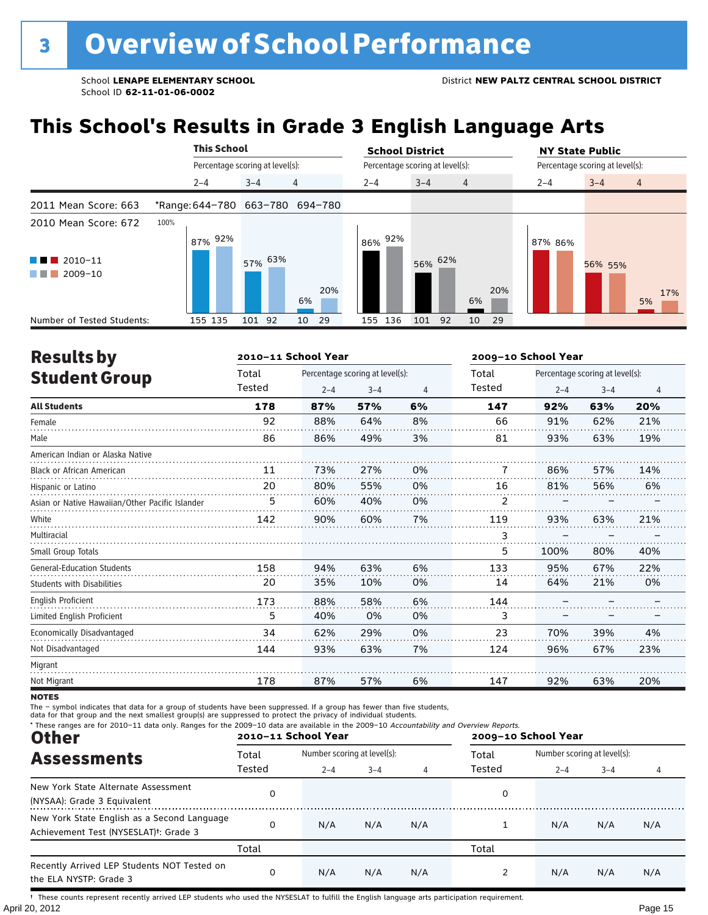## **This School's Results in Grade 3 English Language Arts**

|                                                    |                                 | <b>This School</b> |                                 |   |           | <b>School District</b> |                                 |                | <b>NY State Public</b> |                                 |                |  |
|----------------------------------------------------|---------------------------------|--------------------|---------------------------------|---|-----------|------------------------|---------------------------------|----------------|------------------------|---------------------------------|----------------|--|
|                                                    |                                 |                    | Percentage scoring at level(s): |   |           |                        | Percentage scoring at level(s): |                |                        | Percentage scoring at level(s): |                |  |
|                                                    | $2 - 4$                         |                    | $3 - 4$                         | 4 |           | $2 - 4$                | $3 - 4$                         | $\overline{4}$ | $2 - 4$                | $3 - 4$                         | $\overline{4}$ |  |
| 2011 Mean Score: 663                               | *Range: 644-780 663-780 694-780 |                    |                                 |   |           |                        |                                 |                |                        |                                 |                |  |
| 2010 Mean Score: 672                               | 100%                            | 87% 92%            |                                 |   |           | 92%<br>86%             |                                 |                | 87% 86%                |                                 |                |  |
| $\blacksquare$ 2010-11<br>and the state<br>2009-10 |                                 |                    | 57% 63%                         |   | 20%<br>6% |                        | 56% 62%                         | 20%<br>6%      |                        | 56% 55%                         | 17%<br>5%      |  |
| Number of Tested Students:                         | 155 135                         |                    | 101 92                          |   | 29<br>10  | 155 136                | 101<br>92                       | 29<br>10       |                        |                                 |                |  |

| <b>Results by</b>                               |        | 2010-11 School Year |                                 |                | 2009-10 School Year |         |                                 |     |
|-------------------------------------------------|--------|---------------------|---------------------------------|----------------|---------------------|---------|---------------------------------|-----|
| <b>Student Group</b>                            | Total  |                     | Percentage scoring at level(s): |                | Total               |         | Percentage scoring at level(s): |     |
|                                                 | Tested | $2 - 4$             | $3 - 4$                         | $\overline{4}$ | Tested              | $2 - 4$ | $3 - 4$                         | 4   |
| <b>All Students</b>                             | 178    | 87%                 | 57%                             | 6%             | 147                 | 92%     | 63%                             | 20% |
| Female                                          | 92     | 88%                 | 64%                             | 8%             | 66                  | 91%     | 62%                             | 21% |
| Male                                            | 86     | 86%                 | 49%                             | 3%             | 81                  | 93%     | 63%                             | 19% |
| American Indian or Alaska Native                |        |                     |                                 |                |                     |         |                                 |     |
| <b>Black or African American</b>                | 11     | 73%                 | 27%                             | 0%             | 7                   | 86%     | 57%                             | 14% |
| Hispanic or Latino                              | 20     | 80%                 | 55%                             | 0%             | 16                  | 81%     | 56%                             | 6%  |
| Asian or Native Hawaiian/Other Pacific Islander | 5      | 60%                 | 40%                             | 0%             | 2                   |         |                                 |     |
| White                                           | 142    | 90%                 | 60%                             | 7%             | 119                 | 93%     | 63%                             | 21% |
| Multiracial                                     |        |                     |                                 |                | 3                   |         |                                 |     |
| Small Group Totals                              |        |                     |                                 |                | 5                   | 100%    | 80%                             | 40% |
| <b>General-Education Students</b>               | 158    | 94%                 | 63%                             | 6%             | 133                 | 95%     | 67%                             | 22% |
| Students with Disabilities                      | 20     | 35%                 | 10%                             | 0%             | 14                  | 64%     | 21%                             | 0%  |
| English Proficient                              | 173    | 88%                 | 58%                             | 6%             | 144                 |         |                                 |     |
| Limited English Proficient                      | 5      | 40%                 | 0%                              | 0%             | 3                   |         |                                 |     |
| Economically Disadvantaged                      | 34     | 62%                 | 29%                             | 0%             | 23                  | 70%     | 39%                             | 4%  |
| Not Disadvantaged                               | 144    | 93%                 | 63%                             | 7%             | 124                 | 96%     | 67%                             | 23% |
| Migrant                                         |        |                     |                                 |                |                     |         |                                 |     |
| Not Migrant                                     | 178    | 87%                 | 57%                             | 6%             | 147                 | 92%     | 63%                             | 20% |

**NOTES** 

The – symbol indicates that data for a group of students have been suppressed. If a group has fewer than five students,<br>data for that group and the next smallest group(s) are suppressed to protect the privacy of individual

| * These ranges are for 2010-11 data only. Ranges for the 2009-10 data are available in the 2009-10 Accountability and Overview Reports.<br><b>Other</b> |        | 2010-11 School Year         |         |     | 2009-10 School Year |                             |         |     |  |
|---------------------------------------------------------------------------------------------------------------------------------------------------------|--------|-----------------------------|---------|-----|---------------------|-----------------------------|---------|-----|--|
| <b>Assessments</b>                                                                                                                                      | Total  | Number scoring at level(s): |         |     | Total               | Number scoring at level(s): |         |     |  |
|                                                                                                                                                         | Tested | $2 - 4$                     | $3 - 4$ | 4   | Tested              | $2 - 4$                     | $3 - 4$ | 4   |  |
| New York State Alternate Assessment<br>(NYSAA): Grade 3 Equivalent                                                                                      | 0      |                             |         |     | 0                   |                             |         |     |  |
| New York State English as a Second Language<br>Achievement Test (NYSESLAT) <sup>+</sup> : Grade 3                                                       | 0      | N/A                         | N/A     | N/A |                     | N/A                         | N/A     | N/A |  |
|                                                                                                                                                         | Total  |                             |         |     | Total               |                             |         |     |  |
| Recently Arrived LEP Students NOT Tested on<br>the ELA NYSTP: Grade 3                                                                                   | 0      | N/A                         | N/A     | N/A |                     | N/A                         | N/A     | N/A |  |

April 20, 2012 Page 15 † These counts represent recently arrived LEP students who used the NYSESLAT to fulfill the English language arts participation requirement.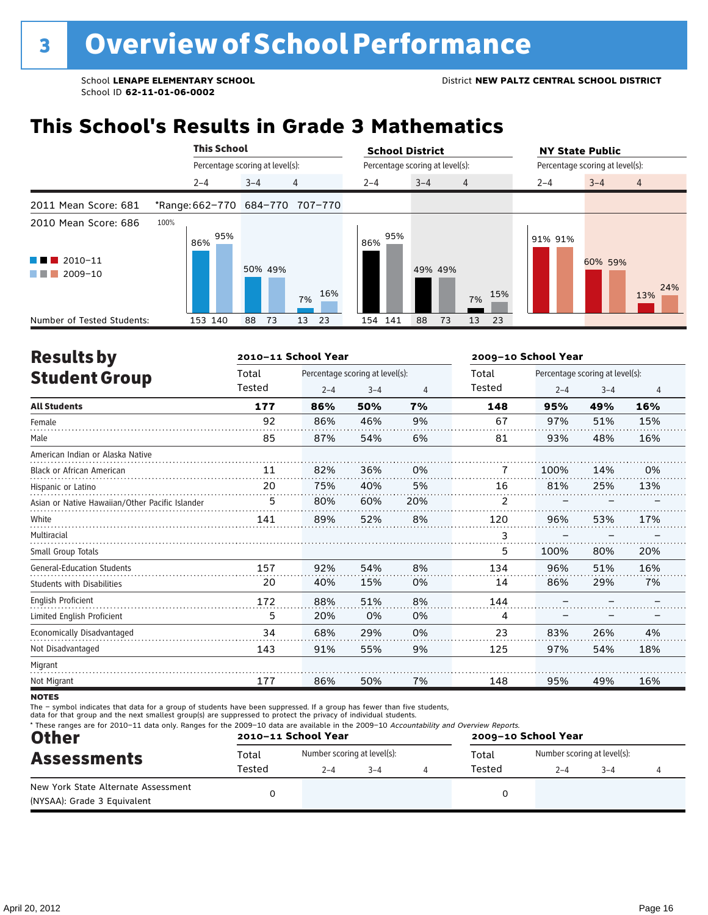## **This School's Results in Grade 3 Mathematics**

|                                                                                                                                                           | <b>This School</b>              |                                 |           | <b>School District</b> |                                 |         | <b>NY State Public</b>          |
|-----------------------------------------------------------------------------------------------------------------------------------------------------------|---------------------------------|---------------------------------|-----------|------------------------|---------------------------------|---------|---------------------------------|
|                                                                                                                                                           |                                 | Percentage scoring at level(s): |           |                        | Percentage scoring at level(s): |         | Percentage scoring at level(s): |
|                                                                                                                                                           | $2 - 4$                         | $3 - 4$                         | 4         | $2 - 4$                | $3 - 4$<br>$\overline{4}$       | $2 - 4$ | $3 - 4$<br>$\overline{4}$       |
| 2011 Mean Score: 681                                                                                                                                      | *Range: 662-770 684-770 707-770 |                                 |           |                        |                                 |         |                                 |
| 2010 Mean Score: 686                                                                                                                                      | 100%<br>95%<br>86%              |                                 |           | 95%<br>86%             |                                 | 91% 91% |                                 |
| $\blacksquare$ 2010-11<br>a kacamatan ing Kabupatèn Kabupatèn Ing Kabupatèn Kabupatèn Kabupatèn Kabupatèn Kabupatèn Kabupatèn Kabupatèn<br>2009-10<br>. . |                                 | 50% 49%                         | 16%<br>7% |                        | 49% 49%<br>7%                   | 15%     | 60% 59%<br>24%<br>13%           |
| Number of Tested Students:                                                                                                                                | 153 140                         | 88<br>73                        | 23<br>13  | 154 141                | 88<br>73<br>13                  | 23      |                                 |

| <b>Results by</b>                               |        | 2010-11 School Year |                                 |                | 2009-10 School Year |         |                                 |                |
|-------------------------------------------------|--------|---------------------|---------------------------------|----------------|---------------------|---------|---------------------------------|----------------|
| <b>Student Group</b>                            | Total  |                     | Percentage scoring at level(s): |                | Total               |         | Percentage scoring at level(s): |                |
|                                                 | Tested | $2 - 4$             | $3 - 4$                         | $\overline{4}$ | Tested              | $2 - 4$ | $3 - 4$                         | $\overline{4}$ |
| <b>All Students</b>                             | 177    | 86%                 | 50%                             | 7%             | 148                 | 95%     | 49%                             | 16%            |
| Female                                          | 92     | 86%                 | 46%                             | 9%             | 67                  | 97%     | 51%                             | 15%            |
| Male                                            | 85     | 87%                 | 54%                             | 6%             | 81                  | 93%     | 48%                             | 16%            |
| American Indian or Alaska Native                |        |                     |                                 |                |                     |         |                                 |                |
| <b>Black or African American</b>                | 11     | 82%                 | 36%                             | 0%             | 7                   | 100%    | 14%                             | 0%             |
| Hispanic or Latino                              | 20     | 75%                 | 40%                             | 5%             | 16                  | 81%     | 25%                             | 13%            |
| Asian or Native Hawaiian/Other Pacific Islander | 5      | 80%                 | 60%                             | 20%            | 2                   |         |                                 |                |
| White                                           | 141    | 89%                 | 52%                             | 8%             | 120                 | 96%     | 53%                             | 17%            |
| Multiracial                                     |        |                     |                                 |                | 3                   |         |                                 |                |
| Small Group Totals                              |        |                     |                                 |                | 5                   | 100%    | 80%                             | 20%            |
| <b>General-Education Students</b>               | 157    | 92%                 | 54%                             | 8%             | 134                 | 96%     | 51%                             | 16%            |
| <b>Students with Disabilities</b>               | 20     | 40%                 | 15%                             | 0%             | 14                  | 86%     | 29%                             | 7%             |
| <b>English Proficient</b>                       | 172    | 88%                 | 51%                             | 8%             | 144                 |         |                                 |                |
| Limited English Proficient                      | 5      | 20%                 | 0%                              | 0%             | 4                   |         |                                 |                |
| Economically Disadvantaged                      | 34     | 68%                 | 29%                             | 0%             | 23                  | 83%     | 26%                             | 4%             |
| Not Disadvantaged                               | 143    | 91%                 | 55%                             | 9%             | 125                 | 97%     | 54%                             | 18%            |
| Migrant                                         |        |                     |                                 |                |                     |         |                                 |                |
| Not Migrant                                     | 177    | 86%                 | 50%                             | 7%             | 148                 | 95%     | 49%                             | 16%            |
| <b>NOTEC</b>                                    |        |                     |                                 |                |                     |         |                                 |                |

**NOTES** 

The – symbol indicates that data for a group of students have been suppressed. If a group has fewer than five students,

data for that group and the next smallest group(s) are suppressed to protect the privacy of individual students.

| <b>Other</b><br><b>Assessments</b>                                 |        | 2010-11 School Year         |         | 2009-10 School Year |        |                             |         |  |
|--------------------------------------------------------------------|--------|-----------------------------|---------|---------------------|--------|-----------------------------|---------|--|
|                                                                    | Total  | Number scoring at level(s): |         |                     | Total  | Number scoring at level(s): |         |  |
|                                                                    | Tested | $2 - 4$                     | $3 - 4$ |                     | Tested | $2 - 4$                     | $3 - 4$ |  |
| New York State Alternate Assessment<br>(NYSAA): Grade 3 Equivalent |        |                             |         |                     |        |                             |         |  |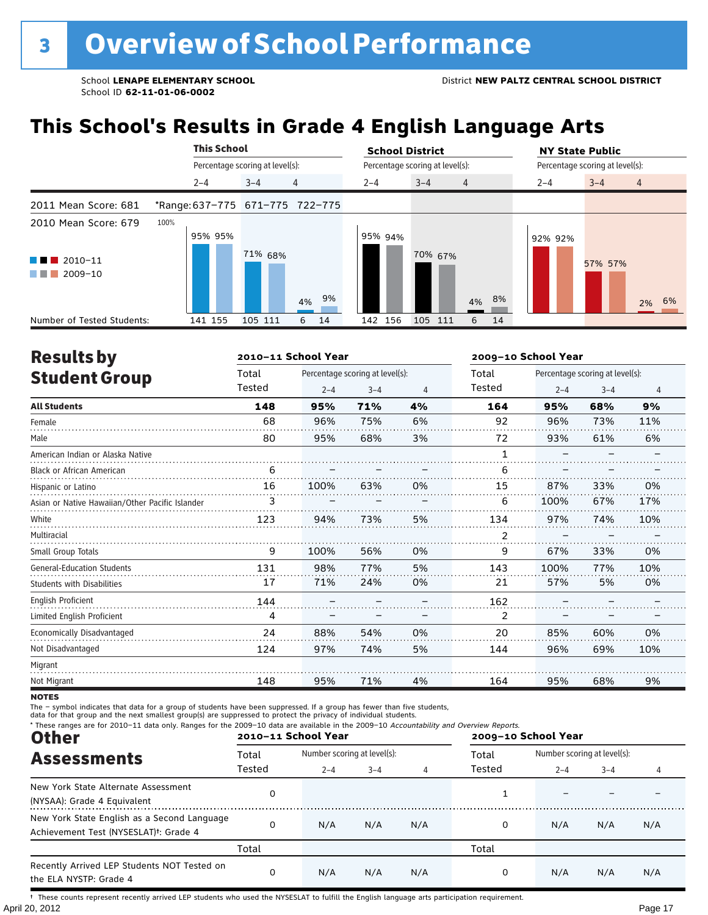## **This School's Results in Grade 4 English Language Arts**

|                            |      |         | <b>This School</b> |                                 |                                 |    | <b>School District</b> |                                 |                | <b>NY State Public</b>          |         |       |  |
|----------------------------|------|---------|--------------------|---------------------------------|---------------------------------|----|------------------------|---------------------------------|----------------|---------------------------------|---------|-------|--|
|                            |      |         |                    | Percentage scoring at level(s): |                                 |    |                        | Percentage scoring at level(s): |                | Percentage scoring at level(s): |         |       |  |
|                            |      | $2 - 4$ |                    | $3 - 4$                         | 4                               |    | $2 - 4$                | $3 - 4$                         | $\overline{4}$ | $2 - 4$                         | $3 - 4$ | 4     |  |
| 2011 Mean Score: 681       |      |         |                    |                                 | *Range: 637-775 671-775 722-775 |    |                        |                                 |                |                                 |         |       |  |
| 2010 Mean Score: 679       | 100% |         |                    |                                 |                                 |    |                        |                                 |                |                                 |         |       |  |
|                            |      | 95% 95% |                    |                                 |                                 |    | 95% 94%                |                                 |                | 92% 92%                         |         |       |  |
| $\blacksquare$ 2010-11     |      |         |                    | 71% 68%                         |                                 |    |                        | 70% 67%                         |                |                                 | 57% 57% |       |  |
| $\blacksquare$ 2009-10     |      |         |                    |                                 |                                 |    |                        |                                 |                |                                 |         |       |  |
|                            |      |         |                    |                                 |                                 | 9% |                        |                                 |                |                                 |         |       |  |
|                            |      |         |                    |                                 | 4%                              |    |                        |                                 | 8%<br>4%       |                                 |         | 2% 6% |  |
| Number of Tested Students: |      | 141 155 |                    | 105 111                         | 6                               | 14 | 142 156                | 105 111                         | 6<br>14        |                                 |         |       |  |

| <b>Results by</b>                               |        | 2010-11 School Year |                                 |                | 2009-10 School Year |         |                                 |                |  |
|-------------------------------------------------|--------|---------------------|---------------------------------|----------------|---------------------|---------|---------------------------------|----------------|--|
| <b>Student Group</b>                            | Total  |                     | Percentage scoring at level(s): |                | Total               |         | Percentage scoring at level(s): |                |  |
|                                                 | Tested | $2 - 4$             | $3 - 4$                         | $\overline{4}$ | Tested              | $2 - 4$ | $3 - 4$                         | $\overline{4}$ |  |
| <b>All Students</b>                             | 148    | 95%                 | 71%                             | 4%             | 164                 | 95%     | 68%                             | 9%             |  |
| Female                                          | 68     | 96%                 | 75%                             | 6%             | 92                  | 96%     | 73%                             | 11%            |  |
| Male                                            | 80     | 95%                 | 68%                             | 3%             | 72                  | 93%     | 61%                             | 6%             |  |
| American Indian or Alaska Native                |        |                     |                                 |                | 1                   |         |                                 |                |  |
| <b>Black or African American</b>                | 6      |                     |                                 |                | 6                   |         |                                 |                |  |
| Hispanic or Latino                              | 16     | 100%                | 63%                             | 0%             | 15                  | 87%     | 33%                             | 0%             |  |
| Asian or Native Hawaiian/Other Pacific Islander |        |                     |                                 |                | 6                   | 100%    | 67%                             | 17%            |  |
| White                                           | 123    | 94%                 | 73%                             | 5%             | 134                 | 97%     | 74%                             | 10%            |  |
| Multiracial                                     |        |                     |                                 |                | 2                   |         |                                 |                |  |
| Small Group Totals                              | 9      | 100%                | 56%                             | 0%             | 9                   | 67%     | 33%                             | 0%             |  |
| <b>General-Education Students</b>               | 131    | 98%                 | 77%                             | 5%             | 143                 | 100%    | 77%                             | 10%            |  |
| <b>Students with Disabilities</b>               | 17     | 71%                 | 24%                             | 0%             | 21                  | 57%     | 5%                              | 0%             |  |
| <b>English Proficient</b>                       | 144    |                     |                                 |                | 162                 |         |                                 |                |  |
| Limited English Proficient                      | 4      |                     |                                 |                | 2                   |         |                                 |                |  |
| Economically Disadvantaged                      | 24     | 88%                 | 54%                             | 0%             | 20                  | 85%     | 60%                             | 0%             |  |
| Not Disadvantaged                               | 124    | 97%                 | 74%                             | 5%             | 144                 | 96%     | 69%                             | 10%            |  |
| Migrant                                         |        |                     |                                 |                |                     |         |                                 |                |  |
| Not Migrant                                     | 148    | 95%                 | 71%                             | 4%             | 164                 | 95%     | 68%                             | 9%             |  |

**NOTES** 

The – symbol indicates that data for a group of students have been suppressed. If a group has fewer than five students,<br>data for that group and the next smallest group(s) are suppressed to protect the privacy of individual

| * These ranges are for 2010-11 data only. Ranges for the 2009-10 data are available in the 2009-10 Accountability and Overview Reports.<br><b>Other</b> |        | 2010-11 School Year |                             |     | 2009-10 School Year |                             |         |     |
|---------------------------------------------------------------------------------------------------------------------------------------------------------|--------|---------------------|-----------------------------|-----|---------------------|-----------------------------|---------|-----|
| <b>Assessments</b>                                                                                                                                      | Total  |                     | Number scoring at level(s): |     |                     | Number scoring at level(s): |         |     |
|                                                                                                                                                         | Tested | $2 - 4$             | $3 - 4$                     | 4   | Tested              | $2 - 4$                     | $3 - 4$ |     |
| New York State Alternate Assessment<br>(NYSAA): Grade 4 Equivalent                                                                                      | 0      |                     |                             |     |                     |                             |         |     |
| New York State English as a Second Language<br>Achievement Test (NYSESLAT) <sup>+</sup> : Grade 4                                                       | 0      | N/A                 | N/A                         | N/A | 0                   | N/A                         | N/A     | N/A |
|                                                                                                                                                         | Total  |                     |                             |     | Total               |                             |         |     |
| Recently Arrived LEP Students NOT Tested on<br>the ELA NYSTP: Grade 4                                                                                   | 0      | N/A                 | N/A                         | N/A |                     | N/A                         | N/A     | N/A |

April 20, 2012 Page 17 † These counts represent recently arrived LEP students who used the NYSESLAT to fulfill the English language arts participation requirement.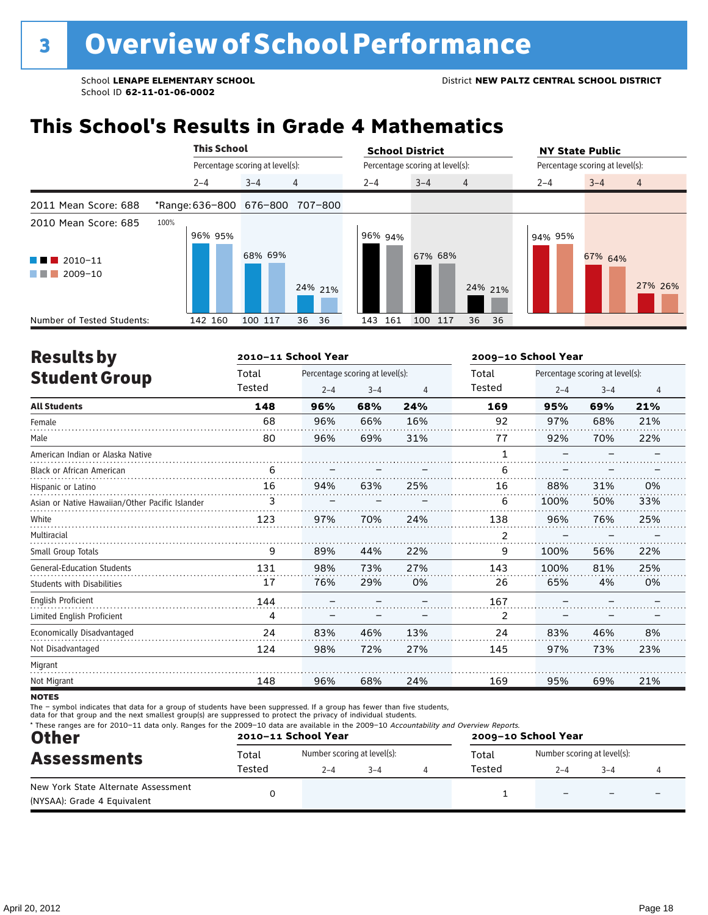## **This School's Results in Grade 4 Mathematics**

|                                                                        | <b>This School</b>              |                                 |          | <b>School District</b> |                                 | <b>NY State Public</b>          |
|------------------------------------------------------------------------|---------------------------------|---------------------------------|----------|------------------------|---------------------------------|---------------------------------|
|                                                                        |                                 | Percentage scoring at level(s): |          |                        | Percentage scoring at level(s): | Percentage scoring at level(s): |
|                                                                        | $2 - 4$                         | $3 - 4$                         | 4        | $2 - 4$                | $3 - 4$<br>$\overline{4}$       | $3 - 4$<br>$2 - 4$<br>4         |
| 2011 Mean Score: 688                                                   | *Range: 636-800 676-800 707-800 |                                 |          |                        |                                 |                                 |
| 2010 Mean Score: 685<br>2010-11<br>a kacamatan ing Kabupatèn Kabupatèn | 100%<br>96% 95%                 | 68% 69%                         |          | 96% 94%                | 67% 68%                         | 94% 95%<br>67% 64%              |
| 2009-10                                                                |                                 |                                 | 24% 21%  |                        | 24% 21%                         | 27% 26%                         |
| Number of Tested Students:                                             | 142 160                         | 100 117                         | 36<br>36 | 143 161                | 100 117<br>36<br>36             |                                 |

| <b>Results by</b>                               |        | 2010-11 School Year |                                 |     | 2009-10 School Year |         |                                 |     |  |
|-------------------------------------------------|--------|---------------------|---------------------------------|-----|---------------------|---------|---------------------------------|-----|--|
| <b>Student Group</b>                            | Total  |                     | Percentage scoring at level(s): |     | Total               |         | Percentage scoring at level(s): |     |  |
|                                                 | Tested | $2 - 4$             | $3 - 4$                         | 4   | Tested              | $2 - 4$ | $3 - 4$                         | 4   |  |
| <b>All Students</b>                             | 148    | 96%                 | 68%                             | 24% | 169                 | 95%     | 69%                             | 21% |  |
| Female                                          | 68     | 96%                 | 66%                             | 16% | 92                  | 97%     | 68%                             | 21% |  |
| Male                                            | 80     | 96%                 | 69%                             | 31% | 77                  | 92%     | 70%                             | 22% |  |
| American Indian or Alaska Native                |        |                     |                                 |     | 1                   |         |                                 |     |  |
| <b>Black or African American</b>                | 6      |                     |                                 |     | 6                   |         |                                 |     |  |
| Hispanic or Latino                              | 16     | 94%                 | 63%                             | 25% | 16                  | 88%     | 31%                             | 0%  |  |
| Asian or Native Hawaiian/Other Pacific Islander | 3      |                     |                                 |     | 6                   | 100%    | 50%                             | 33% |  |
| White                                           | 123    | 97%                 | 70%                             | 24% | 138                 | 96%     | 76%                             | 25% |  |
| Multiracial                                     |        |                     |                                 |     | 2                   |         |                                 |     |  |
| Small Group Totals                              | 9      | 89%                 | 44%                             | 22% | 9                   | 100%    | 56%                             | 22% |  |
| <b>General-Education Students</b>               | 131    | 98%                 | 73%                             | 27% | 143                 | 100%    | 81%                             | 25% |  |
| <b>Students with Disabilities</b>               | 17     | 76%                 | 29%                             | 0%  | 26                  | 65%     | 4%                              | 0%  |  |
| <b>English Proficient</b>                       | 144    |                     |                                 |     | 167                 |         |                                 |     |  |
| Limited English Proficient                      | 4      |                     |                                 |     | 2                   |         |                                 |     |  |
| Economically Disadvantaged                      | 24     | 83%                 | 46%                             | 13% | 24                  | 83%     | 46%                             | 8%  |  |
| Not Disadvantaged                               | 124    | 98%                 | 72%                             | 27% | 145                 | 97%     | 73%                             | 23% |  |
| Migrant                                         |        |                     |                                 |     |                     |         |                                 |     |  |
| Not Migrant                                     | 148    | 96%                 | 68%                             | 24% | 169                 | 95%     | 69%                             | 21% |  |
|                                                 |        |                     |                                 |     |                     |         |                                 |     |  |

**NOTES** 

The – symbol indicates that data for a group of students have been suppressed. If a group has fewer than five students,<br>data for that group and the next smallest group(s) are suppressed to protect the privacy of individual

| <b>Other</b>                                                       |        | 2010-11 School Year          |  | 2009-10 School Year |       |                             |         |  |
|--------------------------------------------------------------------|--------|------------------------------|--|---------------------|-------|-----------------------------|---------|--|
| <b>Assessments</b>                                                 | Total  | Number scoring at level(s):  |  |                     | Total | Number scoring at level(s): |         |  |
|                                                                    | Tested | Tested<br>$2 - 4$<br>$3 - 4$ |  |                     |       |                             | $3 - 4$ |  |
| New York State Alternate Assessment<br>(NYSAA): Grade 4 Equivalent |        |                              |  |                     |       |                             |         |  |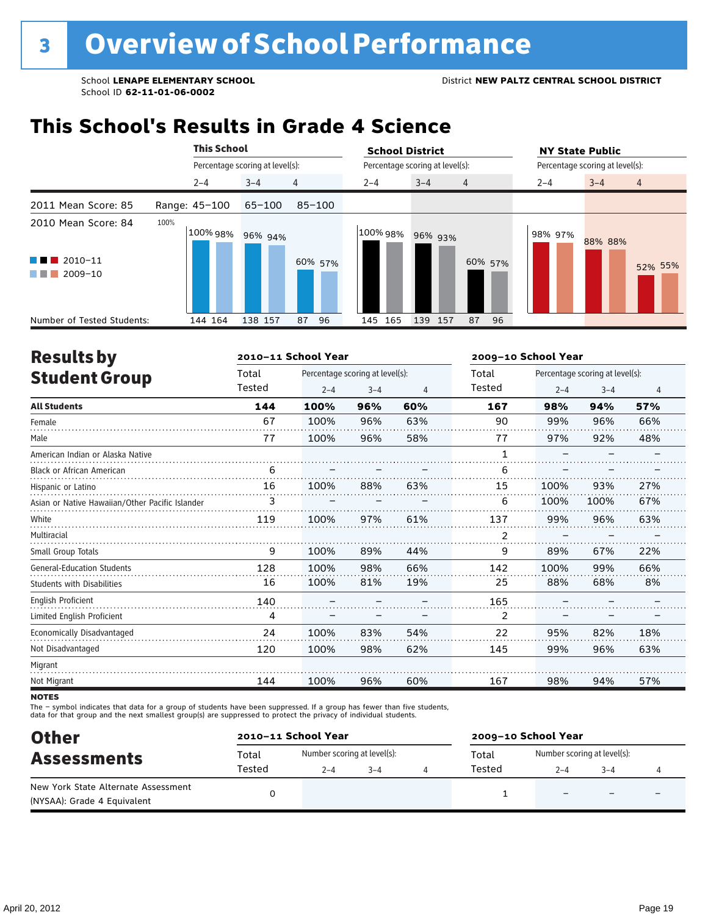### **This School's Results in Grade 4 Science**

|                                                                                | <b>This School</b>      |                                 |            | <b>School District</b> |                                 | <b>NY State Public</b>               |
|--------------------------------------------------------------------------------|-------------------------|---------------------------------|------------|------------------------|---------------------------------|--------------------------------------|
|                                                                                |                         | Percentage scoring at level(s): |            |                        | Percentage scoring at level(s): | Percentage scoring at level(s):      |
|                                                                                | $2 - 4$                 | $3 - 4$                         | 4          | $2 - 4$                | $3 - 4$<br>$\overline{4}$       | $3 - 4$<br>$2 - 4$<br>$\overline{4}$ |
| 2011 Mean Score: 85                                                            | Range: 45-100           | $65 - 100$                      | $85 - 100$ |                        |                                 |                                      |
| 2010 Mean Score: 84<br>$2010 - 11$<br><b>CONTRACTOR</b><br>2009-10<br>a sa Tan | 100%<br>100%98% 96% 94% |                                 | 60% 57%    | 100% 98% 96% 93%       | 60% 57%                         | 98% 97%<br>88% 88%<br>52% 55%        |
| Number of Tested Students:                                                     | 144 164                 | 138 157                         | 96<br>87   | 145 165                | 139<br>87<br>96<br>157          |                                      |

| <b>Results by</b>                               |        | 2010-11 School Year |                                 | 2009-10 School Year |        |         |                                 |     |
|-------------------------------------------------|--------|---------------------|---------------------------------|---------------------|--------|---------|---------------------------------|-----|
| <b>Student Group</b>                            | Total  |                     | Percentage scoring at level(s): |                     | Total  |         | Percentage scoring at level(s): |     |
|                                                 | Tested | $2 - 4$             | $3 - 4$                         | 4                   | Tested | $2 - 4$ | $3 - 4$                         | 4   |
| <b>All Students</b>                             | 144    | 100%                | 96%                             | 60%                 | 167    | 98%     | 94%                             | 57% |
| Female                                          | 67     | 100%                | 96%                             | 63%                 | 90     | 99%     | 96%                             | 66% |
| Male                                            | 77     | 100%                | 96%                             | 58%                 | 77     | 97%     | 92%                             | 48% |
| American Indian or Alaska Native                |        |                     |                                 |                     | 1      |         |                                 |     |
| <b>Black or African American</b>                | 6      |                     |                                 |                     | 6      |         |                                 |     |
| Hispanic or Latino                              | 16     | 100%                | 88%                             | 63%                 | 15     | 100%    | 93%                             | 27% |
| Asian or Native Hawaiian/Other Pacific Islander | 3      |                     |                                 |                     | 6      | 100%    | 100%                            | 67% |
| White                                           | 119    | 100%                | 97%                             | 61%                 | 137    | 99%     | 96%                             | 63% |
| Multiracial                                     |        |                     |                                 |                     | 2      |         |                                 |     |
| Small Group Totals                              | 9      | 100%                | 89%                             | 44%                 | 9      | 89%     | 67%                             | 22% |
| <b>General-Education Students</b>               | 128    | 100%                | 98%                             | 66%                 | 142    | 100%    | 99%                             | 66% |
| <b>Students with Disabilities</b>               | 16     | 100%                | 81%                             | 19%                 | 25     | 88%     | 68%                             | 8%  |
| <b>English Proficient</b>                       | 140    |                     |                                 |                     | 165    |         |                                 |     |
| Limited English Proficient                      | 4      |                     |                                 |                     | 2      |         |                                 |     |
| Economically Disadvantaged                      | 24     | 100%                | 83%                             | 54%                 | 22     | 95%     | 82%                             | 18% |
| Not Disadvantaged                               | 120    | 100%                | 98%                             | 62%                 | 145    | 99%     | 96%                             | 63% |
| Migrant                                         |        |                     |                                 |                     |        |         |                                 |     |
| Not Migrant                                     | 144    | 100%                | 96%                             | 60%                 | 167    | 98%     | 94%                             | 57% |

**NOTES** 

The – symbol indicates that data for a group of students have been suppressed. If a group has fewer than five students,<br>data for that group and the next smallest group(s) are suppressed to protect the privacy of individual

| <b>Other</b>                        | 2010-11 School Year |                             |         |  | 2009-10 School Year |                             |         |  |  |
|-------------------------------------|---------------------|-----------------------------|---------|--|---------------------|-----------------------------|---------|--|--|
| <b>Assessments</b>                  | Total               | Number scoring at level(s): |         |  | Total               | Number scoring at level(s): |         |  |  |
|                                     | Tested              | $2 - 4$                     | $3 - 4$ |  | Tested              | $2 - 4$                     | $3 - 4$ |  |  |
| New York State Alternate Assessment |                     |                             |         |  |                     |                             |         |  |  |
| (NYSAA): Grade 4 Equivalent         |                     |                             |         |  |                     |                             |         |  |  |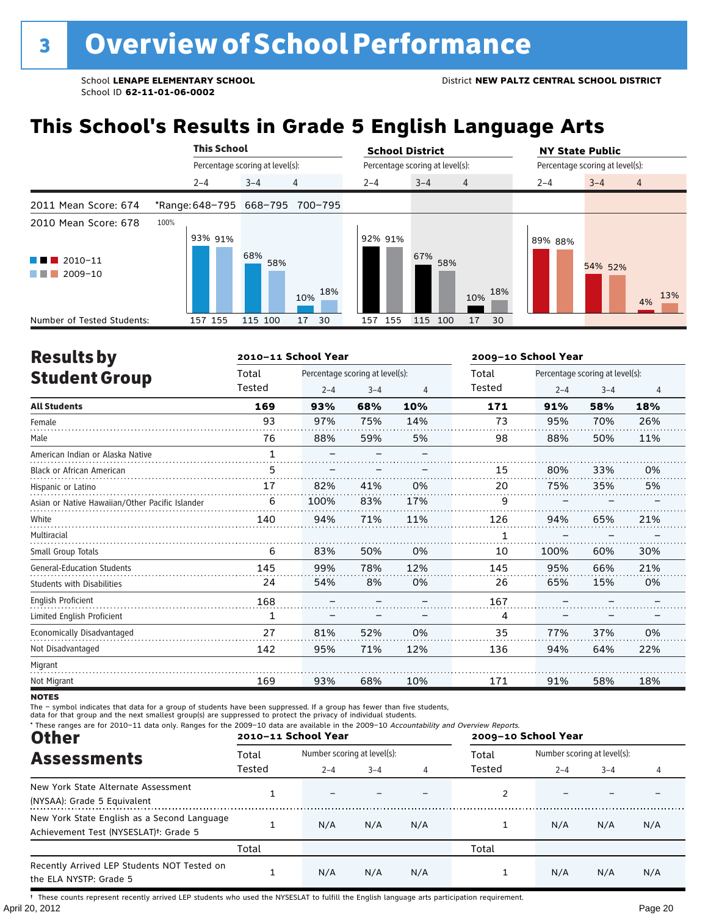## **This School's Results in Grade 5 English Language Arts**

|                                                                                                                                                                             | <b>This School</b> |                                   | <b>School District</b>                             | <b>NY State Public</b>               |
|-----------------------------------------------------------------------------------------------------------------------------------------------------------------------------|--------------------|-----------------------------------|----------------------------------------------------|--------------------------------------|
|                                                                                                                                                                             |                    | Percentage scoring at level(s):   | Percentage scoring at level(s):                    | Percentage scoring at level(s):      |
|                                                                                                                                                                             | $2 - 4$            | $\overline{4}$<br>$3 - 4$         | $3 - 4$<br>$2 - 4$<br>$\overline{4}$               | $3 - 4$<br>$2 - 4$<br>$\overline{4}$ |
| 2011 Mean Score: 674                                                                                                                                                        |                    | *Range: 648-795 668-795 700-795   |                                                    |                                      |
| 2010 Mean Score: 678<br>$\blacksquare$ 2010-11<br>a kacamatan ing Kabupatèn Kabupatèn Ing Kabupatèn Ing Kabupatèn Kabupatèn Kabupatèn Kabupatèn Kabupatèn Kabupa<br>2009-10 | 100%<br>93% 91%    | 68%<br>58%                        | 92% 91%<br>67%<br>58%                              | 89% 88%<br>54% 52%                   |
| Number of Tested Students:                                                                                                                                                  | 157 155            | 18%<br>10%<br>115 100<br>30<br>17 | 18%<br>10%<br>155<br>115<br>17<br>30<br>100<br>157 | 13%<br>4%                            |

| <b>Results by</b>                               |              | 2010-11 School Year |                                 | 2009-10 School Year |        |         |                                 |     |
|-------------------------------------------------|--------------|---------------------|---------------------------------|---------------------|--------|---------|---------------------------------|-----|
| <b>Student Group</b>                            | Total        |                     | Percentage scoring at level(s): |                     | Total  |         | Percentage scoring at level(s): |     |
|                                                 | Tested       | $2 - 4$             | $3 - 4$                         | $\overline{4}$      | Tested | $2 - 4$ | $3 - 4$                         | 4   |
| <b>All Students</b>                             | 169          | 93%                 | 68%                             | 10%                 | 171    | 91%     | 58%                             | 18% |
| Female                                          | 93           | 97%                 | 75%                             | 14%                 | 73     | 95%     | 70%                             | 26% |
| Male                                            | 76           | 88%                 | 59%                             | 5%                  | 98     | 88%     | 50%                             | 11% |
| American Indian or Alaska Native                | $\mathbf{1}$ |                     |                                 |                     |        |         |                                 |     |
| <b>Black or African American</b>                | 5            |                     |                                 |                     | 15     | 80%     | 33%                             | 0%  |
| Hispanic or Latino                              | 17           | 82%                 | 41%                             | 0%                  | 20     | 75%     | 35%                             | 5%  |
| Asian or Native Hawaiian/Other Pacific Islander | 6            | 100%                | 83%                             | 17%                 | 9      |         |                                 |     |
| White                                           | 140          | 94%                 | 71%                             | 11%                 | 126    | 94%     | 65%                             | 21% |
| Multiracial                                     |              |                     |                                 |                     | 1      |         |                                 |     |
| Small Group Totals                              | 6            | 83%                 | 50%                             | 0%                  | 10     | 100%    | 60%                             | 30% |
| <b>General-Education Students</b>               | 145          | 99%                 | 78%                             | 12%                 | 145    | 95%     | 66%                             | 21% |
| <b>Students with Disabilities</b>               | 24           | 54%                 | 8%                              | 0%                  | 26     | 65%     | 15%                             | 0%  |
| <b>English Proficient</b>                       | 168          |                     |                                 |                     | 167    |         |                                 |     |
| Limited English Proficient                      | $\mathbf{1}$ |                     |                                 |                     | 4      |         |                                 |     |
| Economically Disadvantaged                      | 27           | 81%                 | 52%                             | 0%                  | 35     | 77%     | 37%                             | 0%  |
| Not Disadvantaged                               | 142          | 95%                 | 71%                             | 12%                 | 136    | 94%     | 64%                             | 22% |
| Migrant                                         |              |                     |                                 |                     |        |         |                                 |     |
| Not Migrant                                     | 169          | 93%                 | 68%                             | 10%                 | 171    | 91%     | 58%                             | 18% |

**NOTES** 

The – symbol indicates that data for a group of students have been suppressed. If a group has fewer than five students,<br>data for that group and the next smallest group(s) are suppressed to protect the privacy of individual

| * These ranges are for 2010-11 data only. Ranges for the 2009-10 data are available in the 2009-10 Accountability and Overview Reports.<br><b>Other</b> |        | 2010-11 School Year |                             |     | 2009-10 School Year |                             |         |     |
|---------------------------------------------------------------------------------------------------------------------------------------------------------|--------|---------------------|-----------------------------|-----|---------------------|-----------------------------|---------|-----|
| <b>Assessments</b>                                                                                                                                      | Total  |                     | Number scoring at level(s): |     |                     | Number scoring at level(s): |         |     |
|                                                                                                                                                         | Tested | $2 - 4$             | $3 - 4$                     | 4   | Tested              | $2 - 4$                     | $3 - 4$ | 4   |
| New York State Alternate Assessment<br>(NYSAA): Grade 5 Equivalent                                                                                      |        |                     |                             |     |                     |                             |         |     |
| New York State English as a Second Language<br>Achievement Test (NYSESLAT) <sup>t</sup> : Grade 5                                                       |        | N/A                 | N/A                         | N/A |                     | N/A                         | N/A     | N/A |
|                                                                                                                                                         | Total  |                     |                             |     | Total               |                             |         |     |
| Recently Arrived LEP Students NOT Tested on<br>the ELA NYSTP: Grade 5                                                                                   |        | N/A                 | N/A                         | N/A |                     | N/A                         | N/A     | N/A |

April 20, 2012 Page 20 † These counts represent recently arrived LEP students who used the NYSESLAT to fulfill the English language arts participation requirement.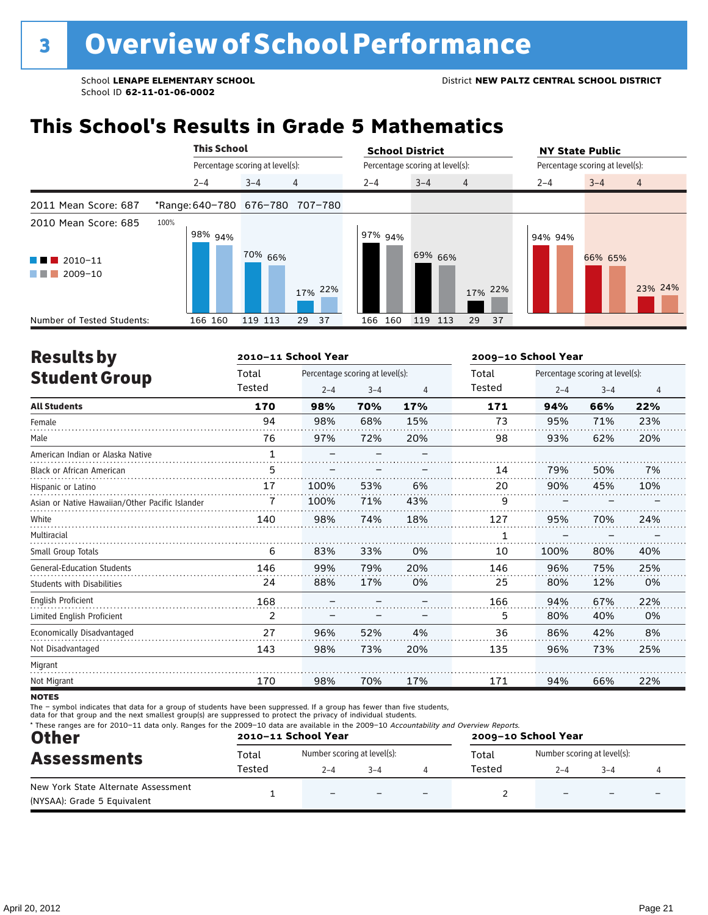## **This School's Results in Grade 5 Mathematics**

|                                                                                       | <b>This School</b>  |                                 | <b>School District</b>               | <b>NY State Public</b>               |
|---------------------------------------------------------------------------------------|---------------------|---------------------------------|--------------------------------------|--------------------------------------|
|                                                                                       |                     | Percentage scoring at level(s): | Percentage scoring at level(s):      | Percentage scoring at level(s):      |
|                                                                                       | $2 - 4$             | $\overline{4}$<br>$3 - 4$       | $3 - 4$<br>$2 - 4$<br>$\overline{4}$ | $3 - 4$<br>$2 - 4$<br>$\overline{4}$ |
| 2011 Mean Score: 687                                                                  |                     | *Range: 640-780 676-780 707-780 |                                      |                                      |
| 2010 Mean Score: 685<br>$\blacksquare$ 2010-11<br><b>Contract Contract</b><br>2009-10 | 100%<br>$198\%$ 94% | 70% 66%<br>17% 22%              | 97% 94%<br>69% 66%<br>17% 22%        | 94% 94%<br>66% 65%<br>23% 24%        |
| Number of Tested Students:                                                            | 166 160             | 119 113<br>29<br>37             | 37<br>166 160<br>119<br>113<br>29    |                                      |

| <b>Results by</b>                               |        | 2010-11 School Year      |                                 |     | 2009-10 School Year |                                 |         |     |  |
|-------------------------------------------------|--------|--------------------------|---------------------------------|-----|---------------------|---------------------------------|---------|-----|--|
| <b>Student Group</b>                            | Total  |                          | Percentage scoring at level(s): |     |                     | Percentage scoring at level(s): |         |     |  |
|                                                 | Tested | $2 - 4$                  | $3 - 4$                         | 4   | Tested              | $2 - 4$                         | $3 - 4$ | 4   |  |
| <b>All Students</b>                             | 170    | 98%                      | 70%                             | 17% | 171                 | 94%                             | 66%     | 22% |  |
| Female                                          | 94     | 98%                      | 68%                             | 15% | 73                  | 95%                             | 71%     | 23% |  |
| Male                                            | 76     | 97%                      | 72%                             | 20% | 98                  | 93%                             | 62%     | 20% |  |
| American Indian or Alaska Native                | 1      | $\overline{\phantom{0}}$ |                                 |     |                     |                                 |         |     |  |
| <b>Black or African American</b>                | 5      |                          |                                 |     | 14                  | 79%                             | 50%     | 7%  |  |
| Hispanic or Latino                              | 17     | 100%                     | 53%                             | 6%  | 20                  | 90%                             | 45%     | 10% |  |
| Asian or Native Hawaiian/Other Pacific Islander |        | 100%                     | 71%                             | 43% | 9                   |                                 |         |     |  |
| White                                           | 140    | 98%                      | 74%                             | 18% | 127                 | 95%                             | 70%     | 24% |  |
| Multiracial                                     |        |                          |                                 |     | 1                   |                                 |         |     |  |
| Small Group Totals                              | 6      | 83%                      | 33%                             | 0%  | 10                  | 100%                            | 80%     | 40% |  |
| <b>General-Education Students</b>               | 146    | 99%                      | 79%                             | 20% | 146                 | 96%                             | 75%     | 25% |  |
| <b>Students with Disabilities</b>               | 24     | 88%                      | 17%                             | 0%  | 25                  | 80%                             | 12%     | 0%  |  |
| <b>English Proficient</b>                       | 168    |                          |                                 |     | 166                 | 94%                             | 67%     | 22% |  |
| Limited English Proficient                      | 2      |                          |                                 |     | 5                   | 80%                             | 40%     | 0%  |  |
| Economically Disadvantaged                      | 27     | 96%                      | 52%                             | 4%  | 36                  | 86%                             | 42%     | 8%  |  |
| Not Disadvantaged                               | 143    | 98%                      | 73%                             | 20% | 135                 | 96%                             | 73%     | 25% |  |
| Migrant                                         |        |                          |                                 |     |                     |                                 |         |     |  |
| Not Migrant                                     | 170    | 98%                      | 70%                             | 17% | 171                 | 94%                             | 66%     | 22% |  |
|                                                 |        |                          |                                 |     |                     |                                 |         |     |  |

**NOTES** 

The – symbol indicates that data for a group of students have been suppressed. If a group has fewer than five students,<br>data for that group and the next smallest group(s) are suppressed to protect the privacy of individual

| <b>Other</b>                                                       |        | 2010-11 School Year         | * These ranges are for 2010-11 data only. Ranges for the 2009-10 data are available in the 2009-10 Accountability and Overview Reports.<br>2009-10 School Year |  |        |                             |         |  |
|--------------------------------------------------------------------|--------|-----------------------------|----------------------------------------------------------------------------------------------------------------------------------------------------------------|--|--------|-----------------------------|---------|--|
| <b>Assessments</b>                                                 | Total  | Number scoring at level(s): |                                                                                                                                                                |  | Total  | Number scoring at level(s): |         |  |
|                                                                    | Tested | $2 - 4$                     | $-4$                                                                                                                                                           |  | Tested | $2 - 4$                     | $3 - 4$ |  |
| New York State Alternate Assessment<br>(NYSAA): Grade 5 Equivalent |        | $\overline{\phantom{0}}$    |                                                                                                                                                                |  |        |                             |         |  |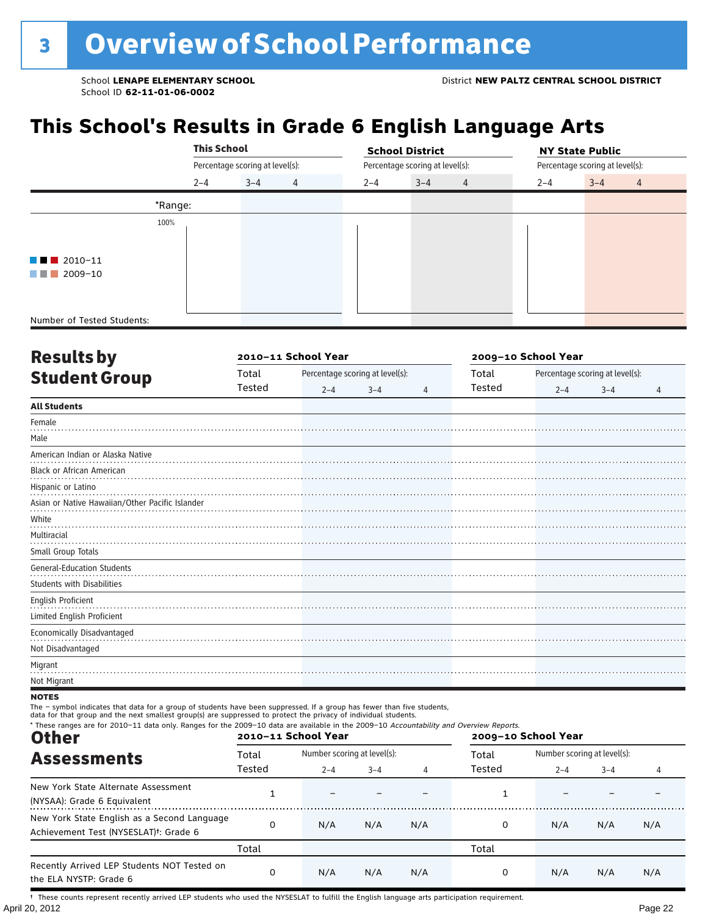## **This School's Results in Grade 6 English Language Arts**

|                            | <b>This School</b> |                                 |                |         | <b>School District</b>          |         | <b>NY State Public</b>          |
|----------------------------|--------------------|---------------------------------|----------------|---------|---------------------------------|---------|---------------------------------|
|                            |                    | Percentage scoring at level(s): |                |         | Percentage scoring at level(s): |         | Percentage scoring at level(s): |
|                            | $2 - 4$            | $3 - 4$                         | $\overline{4}$ | $2 - 4$ | $3 - 4$<br>$\overline{4}$       | $2 - 4$ | $3 - 4$<br>$\overline{4}$       |
|                            | *Range:            |                                 |                |         |                                 |         |                                 |
|                            | 100%               |                                 |                |         |                                 |         |                                 |
|                            |                    |                                 |                |         |                                 |         |                                 |
| $\blacksquare$ 2010-11     |                    |                                 |                |         |                                 |         |                                 |
| 2009-10<br>a shekara       |                    |                                 |                |         |                                 |         |                                 |
|                            |                    |                                 |                |         |                                 |         |                                 |
|                            |                    |                                 |                |         |                                 |         |                                 |
| Number of Tested Students: |                    |                                 |                |         |                                 |         |                                 |

| <b>Resultsby</b>                                |        | 2010-11 School Year |                                 |   | 2009-10 School Year |         |                                 |   |
|-------------------------------------------------|--------|---------------------|---------------------------------|---|---------------------|---------|---------------------------------|---|
| <b>Student Group</b>                            | Total  |                     | Percentage scoring at level(s): |   | Total               |         | Percentage scoring at level(s): |   |
|                                                 | Tested | $2 - 4$             | $3 - 4$                         | 4 | Tested              | $2 - 4$ | $3 - 4$                         | 4 |
| <b>All Students</b>                             |        |                     |                                 |   |                     |         |                                 |   |
| Female                                          |        |                     |                                 |   |                     |         |                                 |   |
| Male                                            |        |                     |                                 |   |                     |         |                                 |   |
| American Indian or Alaska Native                |        |                     |                                 |   |                     |         |                                 |   |
| <b>Black or African American</b>                |        |                     |                                 |   |                     |         |                                 |   |
| Hispanic or Latino                              |        |                     |                                 |   |                     |         |                                 |   |
| Asian or Native Hawaiian/Other Pacific Islander |        |                     |                                 |   |                     |         |                                 |   |
| White                                           |        |                     |                                 |   |                     |         |                                 |   |
| Multiracial                                     |        |                     |                                 |   |                     |         |                                 |   |
| Small Group Totals                              |        |                     |                                 |   |                     |         |                                 |   |
| <b>General-Education Students</b>               |        |                     |                                 |   |                     |         |                                 |   |
| Students with Disabilities                      |        |                     |                                 |   |                     |         |                                 |   |
| English Proficient                              |        |                     |                                 |   |                     |         |                                 |   |
| Limited English Proficient                      |        |                     |                                 |   |                     |         |                                 |   |
| Economically Disadvantaged                      |        |                     |                                 |   |                     |         |                                 |   |
| Not Disadvantaged                               |        |                     |                                 |   |                     |         |                                 |   |
| Migrant                                         |        |                     |                                 |   |                     |         |                                 |   |
| Not Migrant                                     |        |                     |                                 |   |                     |         |                                 |   |

#### **NOTES**

The – symbol indicates that data for a group of students have been suppressed. If a group has fewer than five students,<br>data for that group and the next smallest group(s) are suppressed to protect the privacy of individual

| * These ranges are for 2010-11 data only. Ranges for the 2009-10 data are available in the 2009-10 Accountability and Overview Reports.<br><b>Other</b> |          | 2010-11 School Year |                             |     | 2009-10 School Year |                             |         |     |
|---------------------------------------------------------------------------------------------------------------------------------------------------------|----------|---------------------|-----------------------------|-----|---------------------|-----------------------------|---------|-----|
| <b>Assessments</b>                                                                                                                                      | Total    |                     | Number scoring at level(s): |     |                     | Number scoring at level(s): |         |     |
|                                                                                                                                                         | Tested   | $2 - 4$             | $3 - 4$                     | 4   | Tested              | $2 - 4$                     | $3 - 4$ | 4   |
| New York State Alternate Assessment<br>(NYSAA): Grade 6 Equivalent                                                                                      |          |                     |                             |     |                     |                             |         |     |
| New York State English as a Second Language<br>Achievement Test (NYSESLAT) <sup>†</sup> : Grade 6                                                       | $\Omega$ | N/A                 | N/A                         | N/A | 0                   | N/A                         | N/A     | N/A |
|                                                                                                                                                         | Total    |                     |                             |     | Total               |                             |         |     |
| Recently Arrived LEP Students NOT Tested on<br>the ELA NYSTP: Grade 6                                                                                   | 0        | N/A                 | N/A                         | N/A | 0                   | N/A                         | N/A     | N/A |

April 20, 2012 Page 22 † These counts represent recently arrived LEP students who used the NYSESLAT to fulfill the English language arts participation requirement.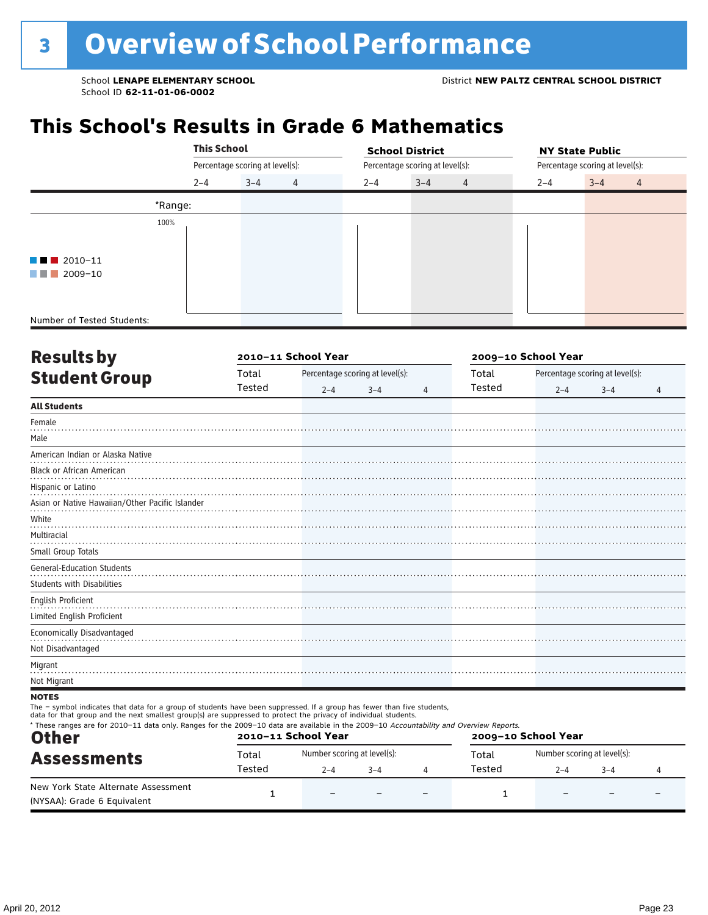## **This School's Results in Grade 6 Mathematics**

|                              |         | <b>This School</b><br>$\overline{4}$<br>$3 - 4$ |  |         | <b>School District</b>          |                | <b>NY State Public</b>          |         |                |  |
|------------------------------|---------|-------------------------------------------------|--|---------|---------------------------------|----------------|---------------------------------|---------|----------------|--|
|                              |         | Percentage scoring at level(s):<br>$2 - 4$      |  |         | Percentage scoring at level(s): |                | Percentage scoring at level(s): |         |                |  |
|                              |         |                                                 |  | $2 - 4$ | $3 - 4$                         | $\overline{4}$ | $2 - 4$                         | $3 - 4$ | $\overline{4}$ |  |
|                              | *Range: |                                                 |  |         |                                 |                |                                 |         |                |  |
|                              | 100%    |                                                 |  |         |                                 |                |                                 |         |                |  |
|                              |         |                                                 |  |         |                                 |                |                                 |         |                |  |
| $\blacksquare$ 2010-11       |         |                                                 |  |         |                                 |                |                                 |         |                |  |
| 2009-10<br><b>CONTRACTOR</b> |         |                                                 |  |         |                                 |                |                                 |         |                |  |
|                              |         |                                                 |  |         |                                 |                |                                 |         |                |  |
|                              |         |                                                 |  |         |                                 |                |                                 |         |                |  |
| Number of Tested Students:   |         |                                                 |  |         |                                 |                |                                 |         |                |  |

|        |         |         | 2009-10 School Year |                                 |         |         |                                 |
|--------|---------|---------|---------------------|---------------------------------|---------|---------|---------------------------------|
| Total  |         |         |                     | Total                           |         |         |                                 |
| Tested | $2 - 4$ | $3 - 4$ | 4                   | <b>Tested</b>                   | $2 - 4$ | $3 - 4$ | $\overline{4}$                  |
|        |         |         |                     |                                 |         |         |                                 |
|        |         |         |                     |                                 |         |         |                                 |
|        |         |         |                     |                                 |         |         |                                 |
|        |         |         |                     |                                 |         |         |                                 |
|        |         |         |                     |                                 |         |         |                                 |
|        |         |         |                     |                                 |         |         |                                 |
|        |         |         |                     |                                 |         |         |                                 |
|        |         |         |                     |                                 |         |         |                                 |
|        |         |         |                     |                                 |         |         |                                 |
|        |         |         |                     |                                 |         |         |                                 |
|        |         |         |                     |                                 |         |         |                                 |
|        |         |         |                     |                                 |         |         |                                 |
|        |         |         |                     |                                 |         |         |                                 |
|        |         |         |                     |                                 |         |         |                                 |
|        |         |         |                     |                                 |         |         |                                 |
|        |         |         |                     |                                 |         |         |                                 |
|        |         |         |                     |                                 |         |         |                                 |
|        |         |         |                     |                                 |         |         |                                 |
|        |         |         | 2010-11 School Year | Percentage scoring at level(s): |         |         | Percentage scoring at level(s): |

**NOTES** 

The – symbol indicates that data for a group of students have been suppressed. If a group has fewer than five students,<br>data for that group and the next smallest group(s) are suppressed to protect the privacy of individual

| <b>Other</b>                                                       |        | 2010-11 School Year         |        |  | 2009-10 School Year |                             |         |  |
|--------------------------------------------------------------------|--------|-----------------------------|--------|--|---------------------|-----------------------------|---------|--|
| <b>Assessments</b>                                                 | Total  | Number scoring at level(s): |        |  | Total               | Number scoring at level(s): |         |  |
|                                                                    | Tested | $2 - 4$                     | $-3-4$ |  | Tested              | $2 - 4$                     | $3 - 4$ |  |
| New York State Alternate Assessment<br>(NYSAA): Grade 6 Equivalent |        | $\overline{\phantom{0}}$    |        |  |                     |                             |         |  |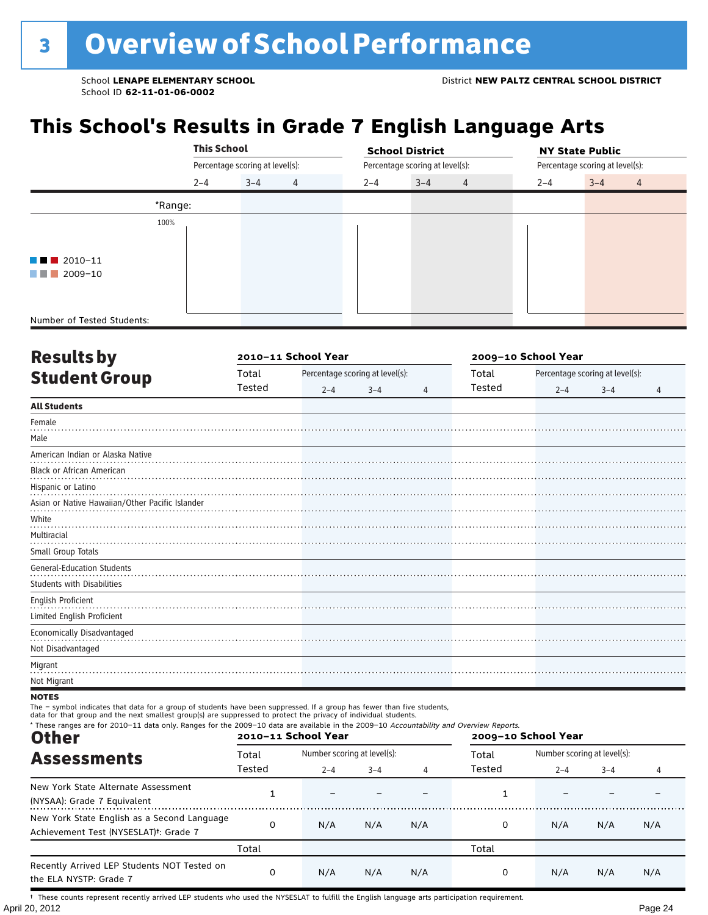## **This School's Results in Grade 7 English Language Arts**

|                            | <b>This School</b> |                                 |                |         | <b>School District</b>          |         | <b>NY State Public</b>          |
|----------------------------|--------------------|---------------------------------|----------------|---------|---------------------------------|---------|---------------------------------|
|                            |                    | Percentage scoring at level(s): |                |         | Percentage scoring at level(s): |         | Percentage scoring at level(s): |
|                            | $2 - 4$            | $3 - 4$                         | $\overline{4}$ | $2 - 4$ | $3 - 4$<br>$\overline{4}$       | $2 - 4$ | $3 - 4$<br>$\overline{4}$       |
|                            | *Range:            |                                 |                |         |                                 |         |                                 |
|                            | 100%               |                                 |                |         |                                 |         |                                 |
|                            |                    |                                 |                |         |                                 |         |                                 |
| $\blacksquare$ 2010-11     |                    |                                 |                |         |                                 |         |                                 |
| 2009-10<br>a shekara       |                    |                                 |                |         |                                 |         |                                 |
|                            |                    |                                 |                |         |                                 |         |                                 |
|                            |                    |                                 |                |         |                                 |         |                                 |
| Number of Tested Students: |                    |                                 |                |         |                                 |         |                                 |

| <b>Results by</b>                               |        | 2010-11 School Year |                                 |   | 2009-10 School Year |         |                                 |   |
|-------------------------------------------------|--------|---------------------|---------------------------------|---|---------------------|---------|---------------------------------|---|
| <b>Student Group</b>                            | Total  |                     | Percentage scoring at level(s): |   | Total               |         | Percentage scoring at level(s): |   |
|                                                 | Tested | $2 - 4$             | $3 - 4$                         | 4 | Tested              | $2 - 4$ | $3 - 4$                         | 4 |
| <b>All Students</b>                             |        |                     |                                 |   |                     |         |                                 |   |
| Female                                          |        |                     |                                 |   |                     |         |                                 |   |
| Male                                            |        |                     |                                 |   |                     |         |                                 |   |
| American Indian or Alaska Native                |        |                     |                                 |   |                     |         |                                 |   |
| <b>Black or African American</b>                |        |                     |                                 |   |                     |         |                                 |   |
| Hispanic or Latino                              |        |                     |                                 |   |                     |         |                                 |   |
| Asian or Native Hawaiian/Other Pacific Islander |        |                     |                                 |   |                     |         |                                 |   |
| White                                           |        |                     |                                 |   |                     |         |                                 |   |
| Multiracial                                     |        |                     |                                 |   |                     |         |                                 |   |
| Small Group Totals                              |        |                     |                                 |   |                     |         |                                 |   |
| <b>General-Education Students</b>               |        |                     |                                 |   |                     |         |                                 |   |
| <b>Students with Disabilities</b>               |        |                     |                                 |   |                     |         |                                 |   |
| English Proficient                              |        |                     |                                 |   |                     |         |                                 |   |
| Limited English Proficient                      |        |                     |                                 |   |                     |         |                                 |   |
| Economically Disadvantaged                      |        |                     |                                 |   |                     |         |                                 |   |
| Not Disadvantaged                               |        |                     |                                 |   |                     |         |                                 |   |
| Migrant                                         |        |                     |                                 |   |                     |         |                                 |   |
| Not Migrant                                     |        |                     |                                 |   |                     |         |                                 |   |

#### **NOTES**

The – symbol indicates that data for a group of students have been suppressed. If a group has fewer than five students,<br>data for that group and the next smallest group(s) are suppressed to protect the privacy of individual

| * These ranges are for 2010-11 data only. Ranges for the 2009-10 data are available in the 2009-10 Accountability and Overview Reports.<br><b>Other</b> |          | 2010-11 School Year         |         |     | 2009-10 School Year |                             |         |     |
|---------------------------------------------------------------------------------------------------------------------------------------------------------|----------|-----------------------------|---------|-----|---------------------|-----------------------------|---------|-----|
| <b>Assessments</b>                                                                                                                                      | Total    | Number scoring at level(s): |         |     | Total               | Number scoring at level(s): |         |     |
|                                                                                                                                                         | Tested   | $2 - 4$                     | $3 - 4$ | 4   | Tested              | $2 - 4$                     | $3 - 4$ | 4   |
| New York State Alternate Assessment<br>(NYSAA): Grade 7 Equivalent                                                                                      |          |                             |         |     |                     |                             |         |     |
| New York State English as a Second Language<br>Achievement Test (NYSESLAT) <sup>+</sup> : Grade 7                                                       | $\Omega$ | N/A                         | N/A     | N/A | 0                   | N/A                         | N/A     | N/A |
|                                                                                                                                                         | Total    |                             |         |     | Total               |                             |         |     |
| Recently Arrived LEP Students NOT Tested on<br>the ELA NYSTP: Grade 7                                                                                   | 0        | N/A                         | N/A     | N/A | 0                   | N/A                         | N/A     | N/A |

April 20, 2012 Page 24 † These counts represent recently arrived LEP students who used the NYSESLAT to fulfill the English language arts participation requirement.